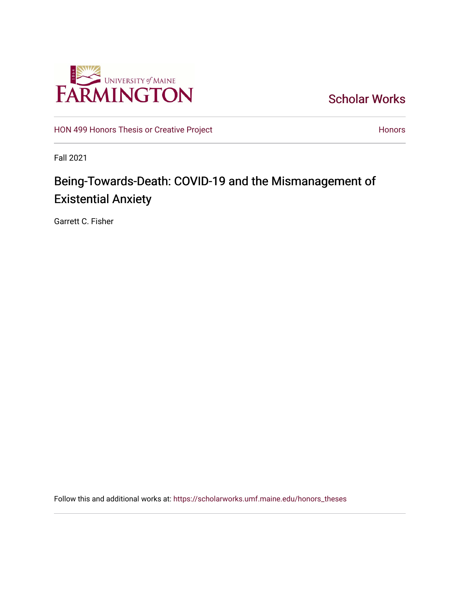

[Scholar Works](https://scholarworks.umf.maine.edu/) 

[HON 499 Honors Thesis or Creative Project](https://scholarworks.umf.maine.edu/honors_theses) **Honors** [Honors](https://scholarworks.umf.maine.edu/honors) Honors

Fall 2021

# Being-Towards-Death: COVID-19 and the Mismanagement of Existential Anxiety

Garrett C. Fisher

Follow this and additional works at: [https://scholarworks.umf.maine.edu/honors\\_theses](https://scholarworks.umf.maine.edu/honors_theses?utm_source=scholarworks.umf.maine.edu%2Fhonors_theses%2F15&utm_medium=PDF&utm_campaign=PDFCoverPages)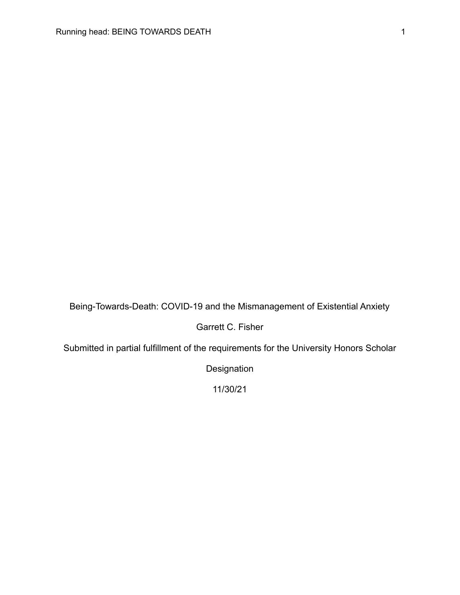Being-Towards-Death: COVID-19 and the Mismanagement of Existential Anxiety

Garrett C. Fisher

Submitted in partial fulfillment of the requirements for the University Honors Scholar

Designation

11/30/21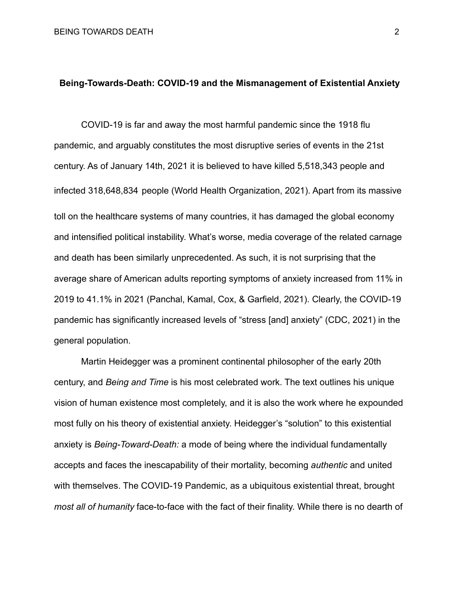## **Being-Towards-Death: COVID-19 and the Mismanagement of Existential Anxiety**

COVID-19 is far and away the most harmful pandemic since the 1918 flu pandemic, and arguably constitutes the most disruptive series of events in the 21st century. As of January 14th, 2021 it is believed to have killed 5,518,343 people and infected 318,648,834 people (World Health Organization, 2021). Apart from its massive toll on the healthcare systems of many countries, it has damaged the global economy and intensified political instability. What's worse, media coverage of the related carnage and death has been similarly unprecedented. As such, it is not surprising that the average share of American adults reporting symptoms of anxiety increased from 11% in 2019 to 41.1% in 2021 (Panchal, Kamal, Cox, & Garfield, 2021). Clearly, the COVID-19 pandemic has significantly increased levels of "stress [and] anxiety" (CDC, 2021) in the general population.

Martin Heidegger was a prominent continental philosopher of the early 20th century, and *Being and Time* is his most celebrated work. The text outlines his unique vision of human existence most completely, and it is also the work where he expounded most fully on his theory of existential anxiety. Heidegger's "solution" to this existential anxiety is *Being-Toward-Death:* a mode of being where the individual fundamentally accepts and faces the inescapability of their mortality, becoming *authentic* and united with themselves. The COVID-19 Pandemic, as a ubiquitous existential threat, brought *most all of humanity* face-to-face with the fact of their finality. While there is no dearth of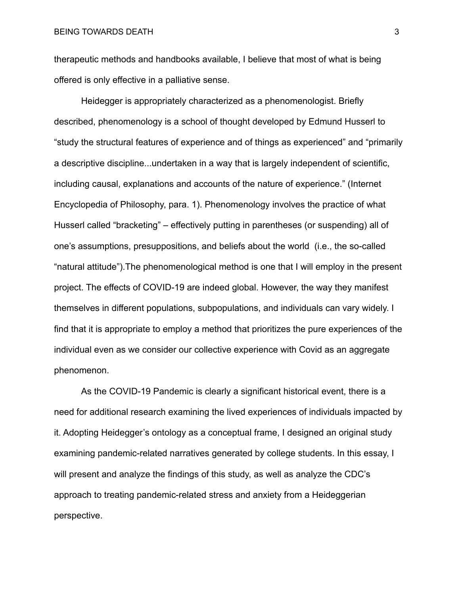therapeutic methods and handbooks available, I believe that most of what is being offered is only effective in a palliative sense.

Heidegger is appropriately characterized as a phenomenologist. Briefly described, phenomenology is a school of thought developed by Edmund Husserl to "study the structural features of experience and of things as experienced" and "primarily a descriptive discipline...undertaken in a way that is largely independent of scientific, including causal, explanations and accounts of the nature of experience." (Internet Encyclopedia of Philosophy, para. 1). Phenomenology involves the practice of what Husserl called "bracketing" – effectively putting in parentheses (or suspending) all of one's assumptions, presuppositions, and beliefs about the world (i.e., the so-called "natural attitude").The phenomenological method is one that I will employ in the present project. The effects of COVID-19 are indeed global. However, the way they manifest themselves in different populations, subpopulations, and individuals can vary widely. I find that it is appropriate to employ a method that prioritizes the pure experiences of the individual even as we consider our collective experience with Covid as an aggregate phenomenon.

As the COVID-19 Pandemic is clearly a significant historical event, there is a need for additional research examining the lived experiences of individuals impacted by it. Adopting Heidegger's ontology as a conceptual frame, I designed an original study examining pandemic-related narratives generated by college students. In this essay, I will present and analyze the findings of this study, as well as analyze the CDC's approach to treating pandemic-related stress and anxiety from a Heideggerian perspective.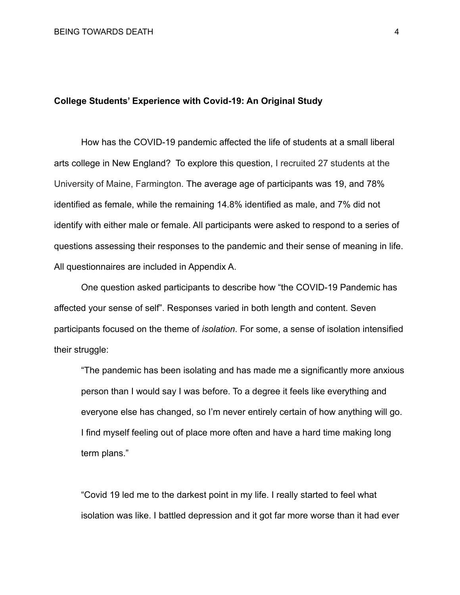## **College Students' Experience with Covid-19: An Original Study**

How has the COVID-19 pandemic affected the life of students at a small liberal arts college in New England? To explore this question, I recruited 27 students at the University of Maine, Farmington. The average age of participants was 19, and 78% identified as female, while the remaining 14.8% identified as male, and 7% did not identify with either male or female. All participants were asked to respond to a series of questions assessing their responses to the pandemic and their sense of meaning in life. All questionnaires are included in Appendix A.

One question asked participants to describe how "the COVID-19 Pandemic has affected your sense of self". Responses varied in both length and content. Seven participants focused on the theme of *isolation*. For some, a sense of isolation intensified their struggle:

"The pandemic has been isolating and has made me a significantly more anxious person than I would say I was before. To a degree it feels like everything and everyone else has changed, so I'm never entirely certain of how anything will go. I find myself feeling out of place more often and have a hard time making long term plans."

"Covid 19 led me to the darkest point in my life. I really started to feel what isolation was like. I battled depression and it got far more worse than it had ever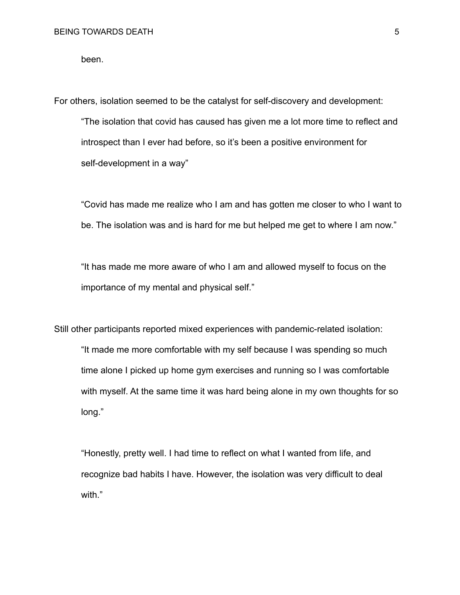been.

For others, isolation seemed to be the catalyst for self-discovery and development:

"The isolation that covid has caused has given me a lot more time to reflect and introspect than I ever had before, so it's been a positive environment for self-development in a way"

"Covid has made me realize who I am and has gotten me closer to who I want to be. The isolation was and is hard for me but helped me get to where I am now."

"It has made me more aware of who I am and allowed myself to focus on the importance of my mental and physical self."

Still other participants reported mixed experiences with pandemic-related isolation: "It made me more comfortable with my self because I was spending so much time alone I picked up home gym exercises and running so I was comfortable with myself. At the same time it was hard being alone in my own thoughts for so long."

"Honestly, pretty well. I had time to reflect on what I wanted from life, and recognize bad habits I have. However, the isolation was very difficult to deal with."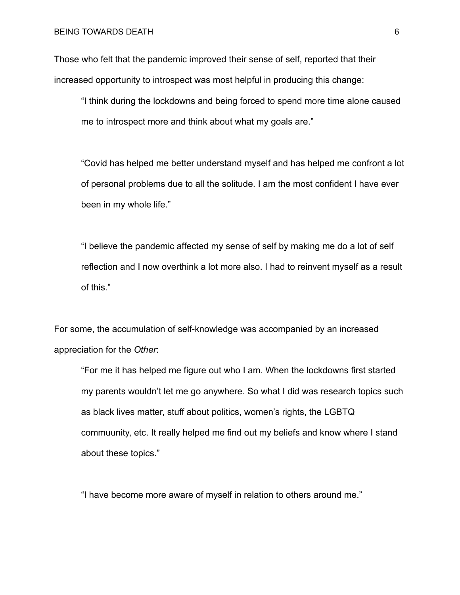Those who felt that the pandemic improved their sense of self, reported that their increased opportunity to introspect was most helpful in producing this change:

"I think during the lockdowns and being forced to spend more time alone caused me to introspect more and think about what my goals are."

"Covid has helped me better understand myself and has helped me confront a lot of personal problems due to all the solitude. I am the most confident I have ever been in my whole life."

"I believe the pandemic affected my sense of self by making me do a lot of self reflection and I now overthink a lot more also. I had to reinvent myself as a result of this."

For some, the accumulation of self-knowledge was accompanied by an increased appreciation for the *Other*:

"For me it has helped me figure out who I am. When the lockdowns first started my parents wouldn't let me go anywhere. So what I did was research topics such as black lives matter, stuff about politics, women's rights, the LGBTQ commuunity, etc. It really helped me find out my beliefs and know where I stand about these topics."

"I have become more aware of myself in relation to others around me."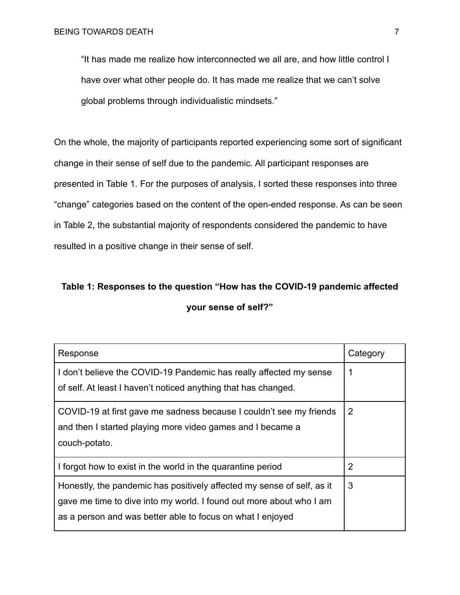"It has made me realize how interconnected we all are, and how little control I have over what other people do. It has made me realize that we can't solve global problems through individualistic mindsets."

On the whole, the majority of participants reported experiencing some sort of significant change in their sense of self due to the pandemic. All participant responses are presented in Table 1. For the purposes of analysis, I sorted these responses into three "change" categories based on the content of the open-ended response. As can be seen in Table 2, the substantial majority of respondents considered the pandemic to have resulted in a positive change in their sense of self.

# **Table 1: Responses to the question "How has the COVID-19 pandemic affected your sense of self?"**

| Response                                                               | Category |
|------------------------------------------------------------------------|----------|
| I don't believe the COVID-19 Pandemic has really affected my sense     |          |
| of self. At least I haven't noticed anything that has changed.         |          |
| COVID-19 at first gave me sadness because I couldn't see my friends    | 2        |
| and then I started playing more video games and I became a             |          |
| couch-potato.                                                          |          |
| I forgot how to exist in the world in the quarantine period            | 2        |
| Honestly, the pandemic has positively affected my sense of self, as it | 3        |
| gave me time to dive into my world. I found out more about who I am    |          |
| as a person and was better able to focus on what I enjoyed             |          |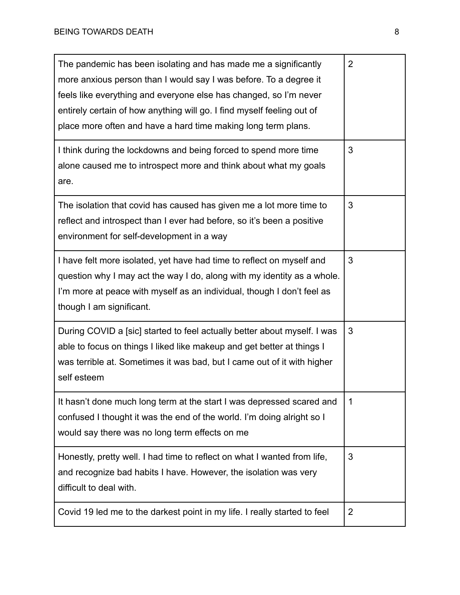| The pandemic has been isolating and has made me a significantly<br>more anxious person than I would say I was before. To a degree it<br>feels like everything and everyone else has changed, so I'm never<br>entirely certain of how anything will go. I find myself feeling out of<br>place more often and have a hard time making long term plans. | $\overline{2}$ |
|------------------------------------------------------------------------------------------------------------------------------------------------------------------------------------------------------------------------------------------------------------------------------------------------------------------------------------------------------|----------------|
| I think during the lockdowns and being forced to spend more time<br>alone caused me to introspect more and think about what my goals<br>are.                                                                                                                                                                                                         | 3              |
| The isolation that covid has caused has given me a lot more time to<br>reflect and introspect than I ever had before, so it's been a positive<br>environment for self-development in a way                                                                                                                                                           | 3              |
| I have felt more isolated, yet have had time to reflect on myself and<br>question why I may act the way I do, along with my identity as a whole.<br>I'm more at peace with myself as an individual, though I don't feel as<br>though I am significant.                                                                                               | 3              |
| During COVID a [sic] started to feel actually better about myself. I was<br>able to focus on things I liked like makeup and get better at things I<br>was terrible at. Sometimes it was bad, but I came out of it with higher<br>self esteem                                                                                                         | 3              |
| It hasn't done much long term at the start I was depressed scared and<br>confused I thought it was the end of the world. I'm doing alright so I<br>would say there was no long term effects on me                                                                                                                                                    | 1              |
| Honestly, pretty well. I had time to reflect on what I wanted from life,<br>and recognize bad habits I have. However, the isolation was very<br>difficult to deal with.                                                                                                                                                                              | 3              |
| Covid 19 led me to the darkest point in my life. I really started to feel                                                                                                                                                                                                                                                                            | 2              |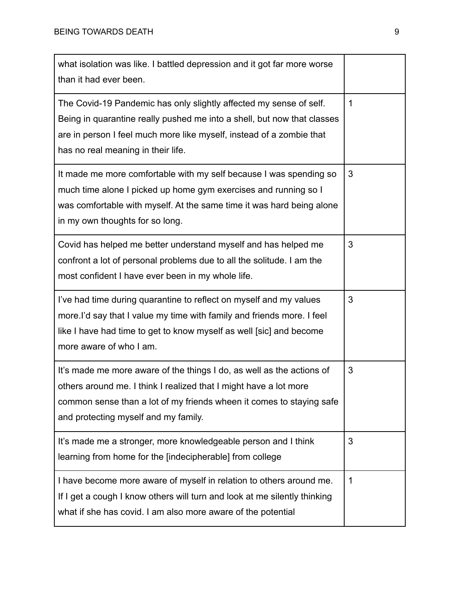| what isolation was like. I battled depression and it got far more worse<br>than it had ever been.                                                                                                                                                           |   |
|-------------------------------------------------------------------------------------------------------------------------------------------------------------------------------------------------------------------------------------------------------------|---|
| The Covid-19 Pandemic has only slightly affected my sense of self.<br>Being in quarantine really pushed me into a shell, but now that classes<br>are in person I feel much more like myself, instead of a zombie that<br>has no real meaning in their life. | 1 |
| It made me more comfortable with my self because I was spending so<br>much time alone I picked up home gym exercises and running so I<br>was comfortable with myself. At the same time it was hard being alone<br>in my own thoughts for so long.           | 3 |
| Covid has helped me better understand myself and has helped me<br>confront a lot of personal problems due to all the solitude. I am the<br>most confident I have ever been in my whole life.                                                                | 3 |
| I've had time during quarantine to reflect on myself and my values<br>more. I'd say that I value my time with family and friends more. I feel<br>like I have had time to get to know myself as well [sic] and become<br>more aware of who I am.             | 3 |
| It's made me more aware of the things I do, as well as the actions of<br>others around me. I think I realized that I might have a lot more<br>common sense than a lot of my friends wheen it comes to staying safe<br>and protecting myself and my family.  | 3 |
| It's made me a stronger, more knowledgeable person and I think<br>learning from home for the [indecipherable] from college                                                                                                                                  | 3 |
| I have become more aware of myself in relation to others around me.<br>If I get a cough I know others will turn and look at me silently thinking<br>what if she has covid. I am also more aware of the potential                                            | 1 |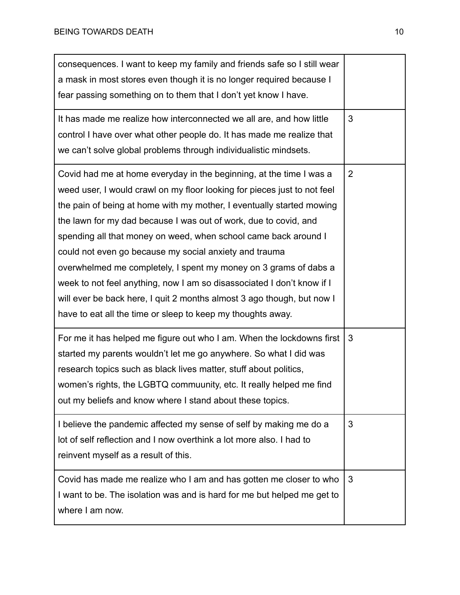| consequences. I want to keep my family and friends safe so I still wear<br>a mask in most stores even though it is no longer required because I<br>fear passing something on to them that I don't yet know I have.                                                                                                                                                                                                                                                                                                                                                                                                                                                                                               |   |
|------------------------------------------------------------------------------------------------------------------------------------------------------------------------------------------------------------------------------------------------------------------------------------------------------------------------------------------------------------------------------------------------------------------------------------------------------------------------------------------------------------------------------------------------------------------------------------------------------------------------------------------------------------------------------------------------------------------|---|
| It has made me realize how interconnected we all are, and how little<br>control I have over what other people do. It has made me realize that<br>we can't solve global problems through individualistic mindsets.                                                                                                                                                                                                                                                                                                                                                                                                                                                                                                | 3 |
| Covid had me at home everyday in the beginning, at the time I was a<br>weed user, I would crawl on my floor looking for pieces just to not feel<br>the pain of being at home with my mother, I eventually started mowing<br>the lawn for my dad because I was out of work, due to covid, and<br>spending all that money on weed, when school came back around I<br>could not even go because my social anxiety and trauma<br>overwhelmed me completely, I spent my money on 3 grams of dabs a<br>week to not feel anything, now I am so disassociated I don't know if I<br>will ever be back here, I quit 2 months almost 3 ago though, but now I<br>have to eat all the time or sleep to keep my thoughts away. | 2 |
| For me it has helped me figure out who I am. When the lockdowns first<br>started my parents wouldn't let me go anywhere. So what I did was<br>research topics such as black lives matter, stuff about politics,<br>women's rights, the LGBTQ commuunity, etc. It really helped me find<br>out my beliefs and know where I stand about these topics.                                                                                                                                                                                                                                                                                                                                                              | 3 |
| I believe the pandemic affected my sense of self by making me do a<br>lot of self reflection and I now overthink a lot more also. I had to<br>reinvent myself as a result of this.                                                                                                                                                                                                                                                                                                                                                                                                                                                                                                                               | 3 |
| Covid has made me realize who I am and has gotten me closer to who<br>I want to be. The isolation was and is hard for me but helped me get to<br>where I am now.                                                                                                                                                                                                                                                                                                                                                                                                                                                                                                                                                 | 3 |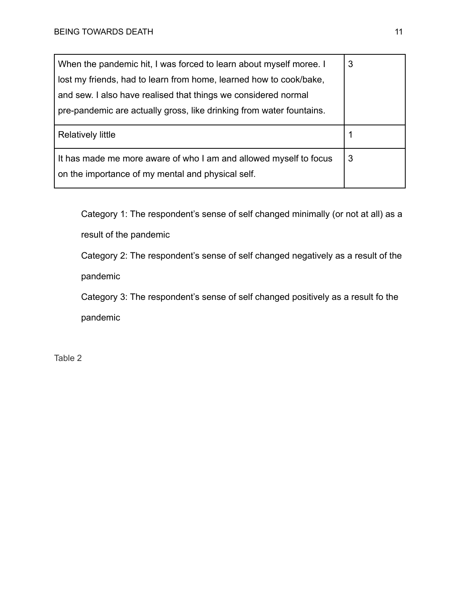| When the pandemic hit, I was forced to learn about myself moree. I                                                     | 3 |
|------------------------------------------------------------------------------------------------------------------------|---|
| lost my friends, had to learn from home, learned how to cook/bake,                                                     |   |
| and sew. I also have realised that things we considered normal                                                         |   |
| pre-pandemic are actually gross, like drinking from water fountains.                                                   |   |
| <b>Relatively little</b>                                                                                               |   |
| It has made me more aware of who I am and allowed myself to focus<br>on the importance of my mental and physical self. | 3 |

Category 1: The respondent's sense of self changed minimally (or not at all) as a result of the pandemic

Category 2: The respondent's sense of self changed negatively as a result of the

pandemic

Category 3: The respondent's sense of self changed positively as a result fo the pandemic

Table 2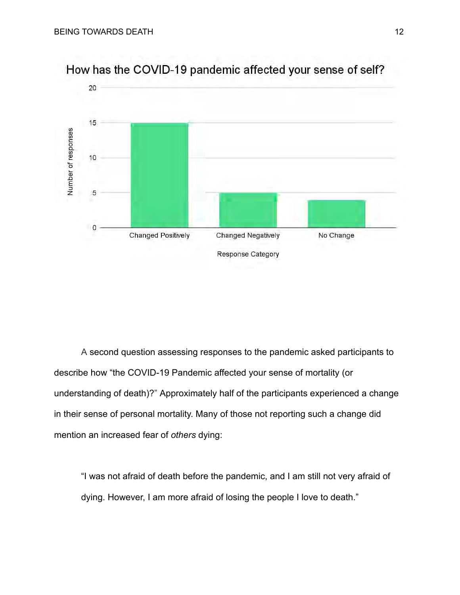

How has the COVID-19 pandemic affected your sense of self?

A second question assessing responses to the pandemic asked participants to describe how "the COVID-19 Pandemic affected your sense of mortality (or understanding of death)?" Approximately half of the participants experienced a change in their sense of personal mortality. Many of those not reporting such a change did mention an increased fear of *others* dying:

"I was not afraid of death before the pandemic, and I am still not very afraid of dying. However, I am more afraid of losing the people I love to death."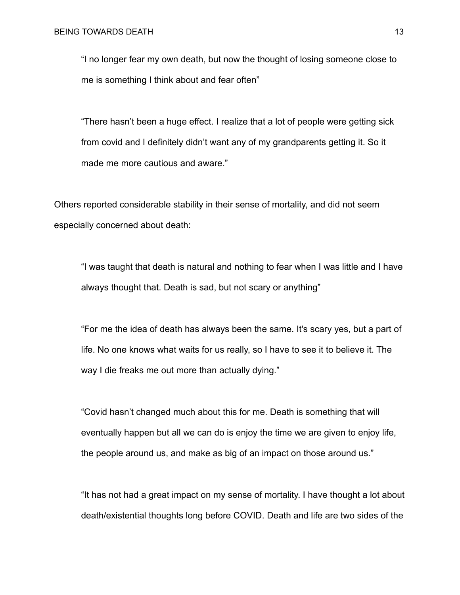"I no longer fear my own death, but now the thought of losing someone close to me is something I think about and fear often"

"There hasn't been a huge effect. I realize that a lot of people were getting sick from covid and I definitely didn't want any of my grandparents getting it. So it made me more cautious and aware."

Others reported considerable stability in their sense of mortality, and did not seem especially concerned about death:

"I was taught that death is natural and nothing to fear when I was little and I have always thought that. Death is sad, but not scary or anything"

"For me the idea of death has always been the same. It's scary yes, but a part of life. No one knows what waits for us really, so I have to see it to believe it. The way I die freaks me out more than actually dying."

"Covid hasn't changed much about this for me. Death is something that will eventually happen but all we can do is enjoy the time we are given to enjoy life, the people around us, and make as big of an impact on those around us."

"It has not had a great impact on my sense of mortality. I have thought a lot about death/existential thoughts long before COVID. Death and life are two sides of the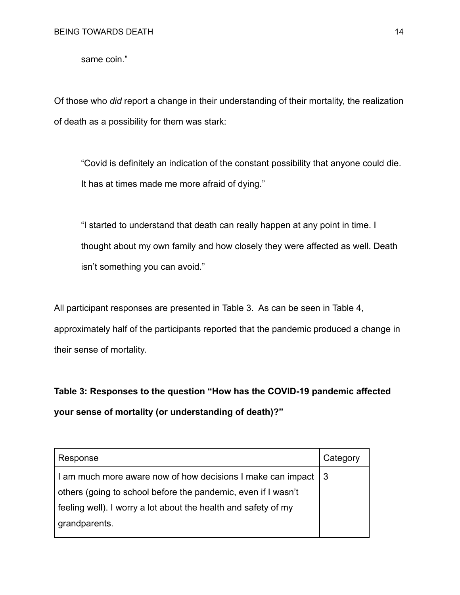same coin."

Of those who *did* report a change in their understanding of their mortality, the realization of death as a possibility for them was stark:

"Covid is definitely an indication of the constant possibility that anyone could die. It has at times made me more afraid of dying."

"I started to understand that death can really happen at any point in time. I thought about my own family and how closely they were affected as well. Death isn't something you can avoid."

All participant responses are presented in Table 3. As can be seen in Table 4, approximately half of the participants reported that the pandemic produced a change in their sense of mortality.

**Table 3: Responses to the question "How has the COVID-19 pandemic affected your sense of mortality (or understanding of death)?"**

| Response                                                        | Category |
|-----------------------------------------------------------------|----------|
| I am much more aware now of how decisions I make can impact   3 |          |
| others (going to school before the pandemic, even if I wasn't   |          |
| feeling well). I worry a lot about the health and safety of my  |          |
| grandparents.                                                   |          |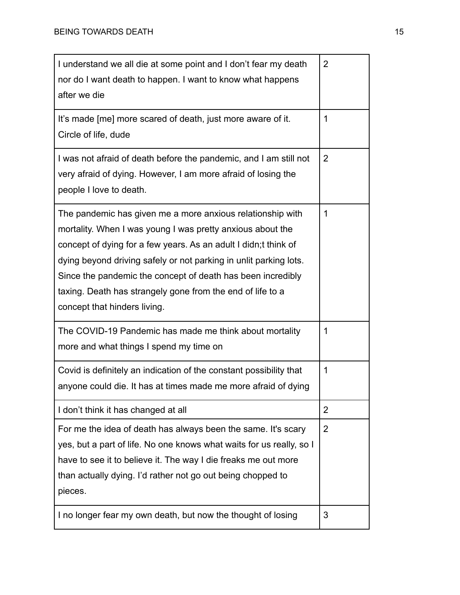| I understand we all die at some point and I don't fear my death<br>nor do I want death to happen. I want to know what happens<br>after we die                                                                                                                                                                                                                                                                                  | $\overline{2}$ |
|--------------------------------------------------------------------------------------------------------------------------------------------------------------------------------------------------------------------------------------------------------------------------------------------------------------------------------------------------------------------------------------------------------------------------------|----------------|
| It's made [me] more scared of death, just more aware of it.<br>Circle of life, dude                                                                                                                                                                                                                                                                                                                                            | 1              |
| I was not afraid of death before the pandemic, and I am still not<br>very afraid of dying. However, I am more afraid of losing the<br>people I love to death.                                                                                                                                                                                                                                                                  | $\overline{2}$ |
| The pandemic has given me a more anxious relationship with<br>mortality. When I was young I was pretty anxious about the<br>concept of dying for a few years. As an adult I didn; t think of<br>dying beyond driving safely or not parking in unlit parking lots.<br>Since the pandemic the concept of death has been incredibly<br>taxing. Death has strangely gone from the end of life to a<br>concept that hinders living. | 1              |
| The COVID-19 Pandemic has made me think about mortality<br>more and what things I spend my time on                                                                                                                                                                                                                                                                                                                             | 1              |
| Covid is definitely an indication of the constant possibility that<br>anyone could die. It has at times made me more afraid of dying                                                                                                                                                                                                                                                                                           | 1              |
| I don't think it has changed at all                                                                                                                                                                                                                                                                                                                                                                                            | 2              |
| For me the idea of death has always been the same. It's scary<br>yes, but a part of life. No one knows what waits for us really, so I<br>have to see it to believe it. The way I die freaks me out more<br>than actually dying. I'd rather not go out being chopped to<br>pieces.                                                                                                                                              | 2              |
| I no longer fear my own death, but now the thought of losing                                                                                                                                                                                                                                                                                                                                                                   | 3              |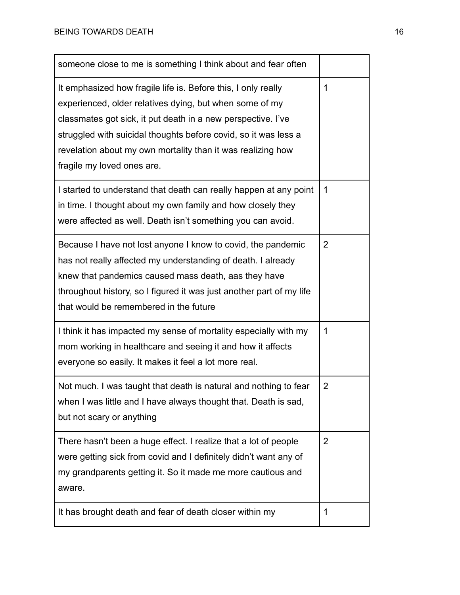| someone close to me is something I think about and fear often                                                                                                                                                                                                                                                                                            |             |
|----------------------------------------------------------------------------------------------------------------------------------------------------------------------------------------------------------------------------------------------------------------------------------------------------------------------------------------------------------|-------------|
| It emphasized how fragile life is. Before this, I only really<br>experienced, older relatives dying, but when some of my<br>classmates got sick, it put death in a new perspective. I've<br>struggled with suicidal thoughts before covid, so it was less a<br>revelation about my own mortality than it was realizing how<br>fragile my loved ones are. | 1           |
| I started to understand that death can really happen at any point<br>in time. I thought about my own family and how closely they<br>were affected as well. Death isn't something you can avoid.                                                                                                                                                          | $\mathbf 1$ |
| Because I have not lost anyone I know to covid, the pandemic<br>has not really affected my understanding of death. I already<br>knew that pandemics caused mass death, aas they have<br>throughout history, so I figured it was just another part of my life<br>that would be remembered in the future                                                   | 2           |
| I think it has impacted my sense of mortality especially with my<br>mom working in healthcare and seeing it and how it affects<br>everyone so easily. It makes it feel a lot more real.                                                                                                                                                                  | 1           |
| Not much. I was taught that death is natural and nothing to fear<br>when I was little and I have always thought that. Death is sad,<br>but not scary or anything                                                                                                                                                                                         | 2           |
| There hasn't been a huge effect. I realize that a lot of people<br>were getting sick from covid and I definitely didn't want any of<br>my grandparents getting it. So it made me more cautious and<br>aware.                                                                                                                                             | 2           |
| It has brought death and fear of death closer within my                                                                                                                                                                                                                                                                                                  | 1           |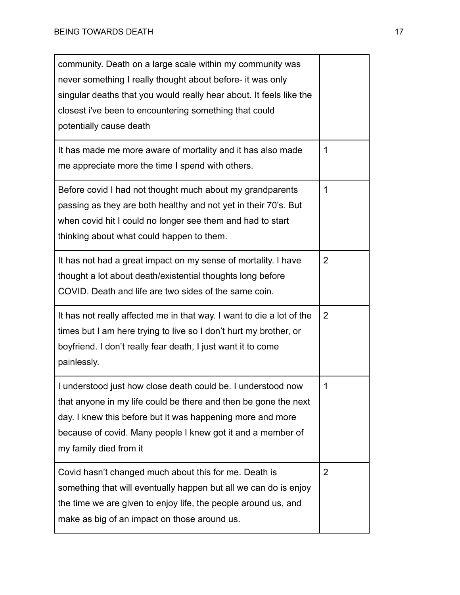| community. Death on a large scale within my community was<br>never something I really thought about before- it was only<br>singular deaths that you would really hear about. It feels like the<br>closest i've been to encountering something that could<br>potentially cause death    |                |
|----------------------------------------------------------------------------------------------------------------------------------------------------------------------------------------------------------------------------------------------------------------------------------------|----------------|
| It has made me more aware of mortality and it has also made<br>me appreciate more the time I spend with others.                                                                                                                                                                        | 1              |
| Before covid I had not thought much about my grandparents<br>passing as they are both healthy and not yet in their 70's. But<br>when covid hit I could no longer see them and had to start<br>thinking about what could happen to them.                                                | 1              |
| It has not had a great impact on my sense of mortality. I have<br>thought a lot about death/existential thoughts long before<br>COVID. Death and life are two sides of the same coin.                                                                                                  | 2              |
| It has not really affected me in that way. I want to die a lot of the<br>times but I am here trying to live so I don't hurt my brother, or<br>boyfriend. I don't really fear death, I just want it to come<br>painlessly.                                                              | $\overline{2}$ |
| I understood just how close death could be. I understood now<br>that anyone in my life could be there and then be gone the next<br>day. I knew this before but it was happening more and more<br>because of covid. Many people I knew got it and a member of<br>my family died from it | 1              |
| Covid hasn't changed much about this for me. Death is<br>something that will eventually happen but all we can do is enjoy<br>the time we are given to enjoy life, the people around us, and<br>make as big of an impact on those around us.                                            | 2              |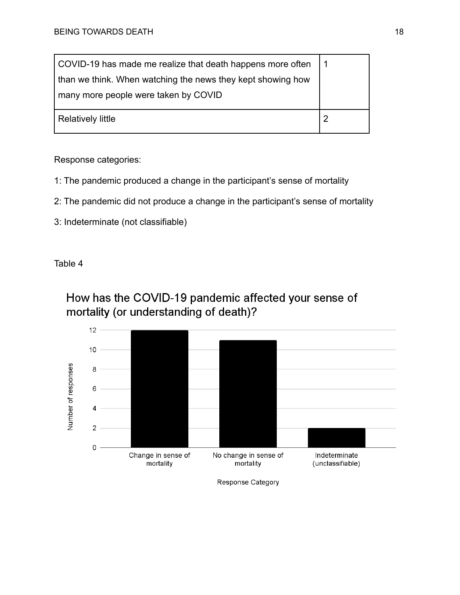| COVID-19 has made me realize that death happens more often  |  |
|-------------------------------------------------------------|--|
| than we think. When watching the news they kept showing how |  |
| many more people were taken by COVID                        |  |
|                                                             |  |
| Relatively little                                           |  |
|                                                             |  |

Response categories:

- 1: The pandemic produced a change in the participant's sense of mortality
- 2: The pandemic did not produce a change in the participant's sense of mortality
- 3: Indeterminate (not classifiable)

Table 4





Response Category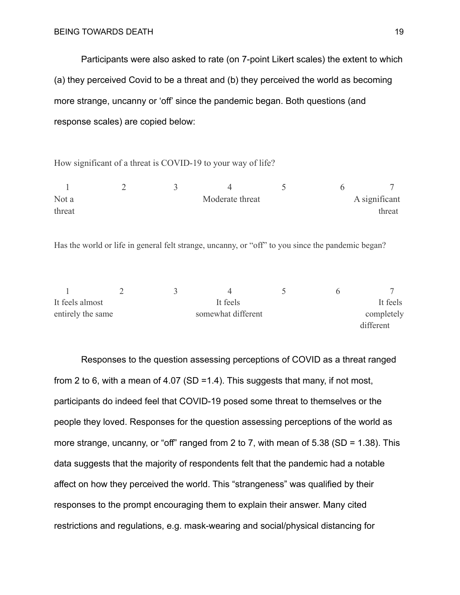Participants were also asked to rate (on 7-point Likert scales) the extent to which (a) they perceived Covid to be a threat and (b) they perceived the world as becoming more strange, uncanny or 'off' since the pandemic began. Both questions (and response scales) are copied below:

How significant of a threat is COVID-19 to your way of life?

| Not a  |  | Moderate threat |  | A significant |
|--------|--|-----------------|--|---------------|
| threat |  |                 |  | threat        |

Has the world or life in general felt strange, uncanny, or "off" to you since the pandemic began?

| It feels almost   |  | It feels           |  | It feels   |
|-------------------|--|--------------------|--|------------|
| entirely the same |  | somewhat different |  | completely |
|                   |  |                    |  | different  |

Responses to the question assessing perceptions of COVID as a threat ranged from 2 to 6, with a mean of 4.07 (SD = 1.4). This suggests that many, if not most, participants do indeed feel that COVID-19 posed some threat to themselves or the people they loved. Responses for the question assessing perceptions of the world as more strange, uncanny, or "off" ranged from 2 to 7, with mean of 5.38 (SD = 1.38). This data suggests that the majority of respondents felt that the pandemic had a notable affect on how they perceived the world. This "strangeness" was qualified by their responses to the prompt encouraging them to explain their answer. Many cited restrictions and regulations, e.g. mask-wearing and social/physical distancing for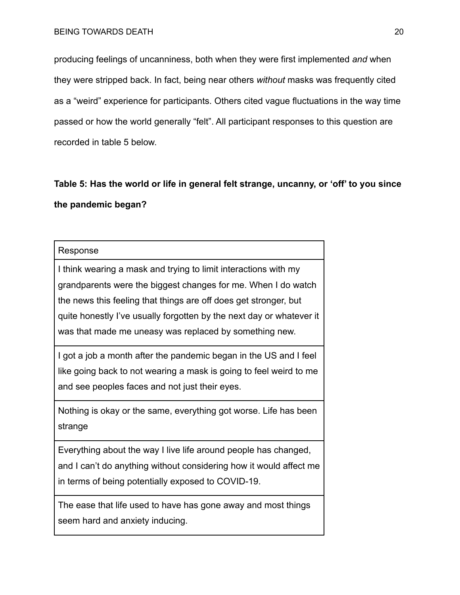producing feelings of uncanniness, both when they were first implemented *and* when they were stripped back. In fact, being near others *without* masks was frequently cited as a "weird" experience for participants. Others cited vague fluctuations in the way time passed or how the world generally "felt". All participant responses to this question are recorded in table 5 below.

**Table 5: Has the world or life in general felt strange, uncanny, or 'off' to you since the pandemic began?**

## Response

I think wearing a mask and trying to limit interactions with my grandparents were the biggest changes for me. When I do watch the news this feeling that things are off does get stronger, but quite honestly I've usually forgotten by the next day or whatever it was that made me uneasy was replaced by something new.

I got a job a month after the pandemic began in the US and I feel like going back to not wearing a mask is going to feel weird to me and see peoples faces and not just their eyes.

Nothing is okay or the same, everything got worse. Life has been strange

Everything about the way I live life around people has changed, and I can't do anything without considering how it would affect me in terms of being potentially exposed to COVID-19.

The ease that life used to have has gone away and most things seem hard and anxiety inducing.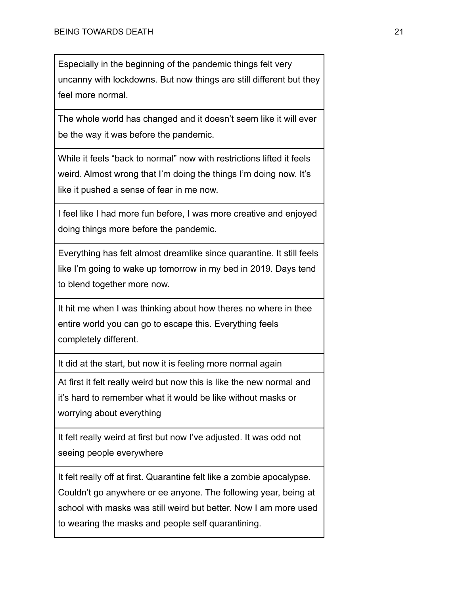Especially in the beginning of the pandemic things felt very uncanny with lockdowns. But now things are still different but they feel more normal.

The whole world has changed and it doesn't seem like it will ever be the way it was before the pandemic.

While it feels "back to normal" now with restrictions lifted it feels weird. Almost wrong that I'm doing the things I'm doing now. It's like it pushed a sense of fear in me now.

I feel like I had more fun before, I was more creative and enjoyed doing things more before the pandemic.

Everything has felt almost dreamlike since quarantine. It still feels like I'm going to wake up tomorrow in my bed in 2019. Days tend to blend together more now.

It hit me when I was thinking about how theres no where in thee entire world you can go to escape this. Everything feels completely different.

It did at the start, but now it is feeling more normal again

At first it felt really weird but now this is like the new normal and it's hard to remember what it would be like without masks or worrying about everything

It felt really weird at first but now I've adjusted. It was odd not seeing people everywhere

It felt really off at first. Quarantine felt like a zombie apocalypse. Couldn't go anywhere or ee anyone. The following year, being at school with masks was still weird but better. Now I am more used to wearing the masks and people self quarantining.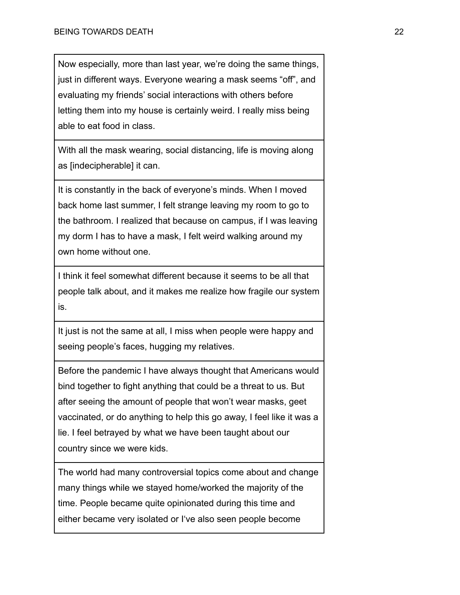Now especially, more than last year, we're doing the same things, just in different ways. Everyone wearing a mask seems "off", and evaluating my friends' social interactions with others before letting them into my house is certainly weird. I really miss being able to eat food in class.

With all the mask wearing, social distancing, life is moving along as [indecipherable] it can.

It is constantly in the back of everyone's minds. When I moved back home last summer, I felt strange leaving my room to go to the bathroom. I realized that because on campus, if I was leaving my dorm I has to have a mask, I felt weird walking around my own home without one.

I think it feel somewhat different because it seems to be all that people talk about, and it makes me realize how fragile our system is.

It just is not the same at all, I miss when people were happy and seeing people's faces, hugging my relatives.

Before the pandemic I have always thought that Americans would bind together to fight anything that could be a threat to us. But after seeing the amount of people that won't wear masks, geet vaccinated, or do anything to help this go away, I feel like it was a lie. I feel betrayed by what we have been taught about our country since we were kids.

The world had many controversial topics come about and change many things while we stayed home/worked the majority of the time. People became quite opinionated during this time and either became very isolated or I've also seen people become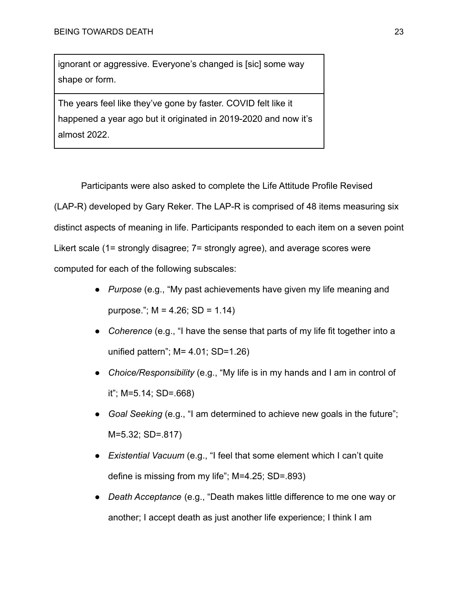ignorant or aggressive. Everyone's changed is [sic] some way shape or form.

The years feel like they've gone by faster. COVID felt like it happened a year ago but it originated in 2019-2020 and now it's almost 2022.

Participants were also asked to complete the Life Attitude Profile Revised (LAP-R) developed by Gary Reker. The LAP-R is comprised of 48 items measuring six distinct aspects of meaning in life. Participants responded to each item on a seven point Likert scale (1= strongly disagree; 7= strongly agree), and average scores were computed for each of the following subscales:

- *Purpose* (e.g., "My past achievements have given my life meaning and purpose.";  $M = 4.26$ ;  $SD = 1.14$ )
- *Coherence* (e.g., "I have the sense that parts of my life fit together into a unified pattern"; M= 4.01; SD=1.26)
- *Choice/Responsibility* (e.g., "My life is in my hands and I am in control of it"; M=5.14; SD=.668)
- *Goal Seeking* (e.g., "I am determined to achieve new goals in the future"; M=5.32; SD=.817)
- *Existential Vacuum* (e.g., "I feel that some element which I can't quite define is missing from my life"; M=4.25; SD=.893)
- *Death Acceptance* (e.g., "Death makes little difference to me one way or another; I accept death as just another life experience; I think I am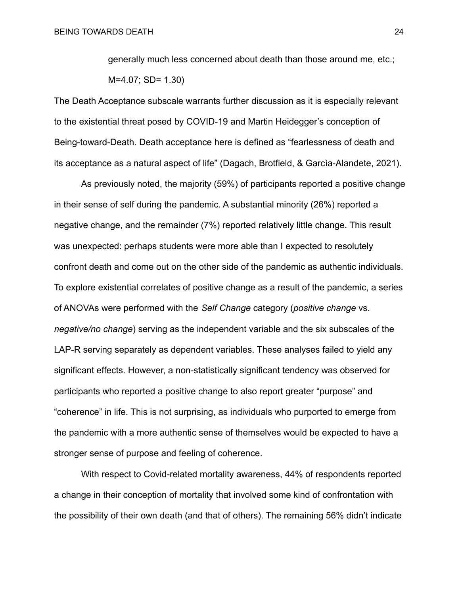generally much less concerned about death than those around me, etc.;

```
M=4.07; SD= 1.30)
```
The Death Acceptance subscale warrants further discussion as it is especially relevant to the existential threat posed by COVID-19 and Martin Heidegger's conception of Being-toward-Death. Death acceptance here is defined as "fearlessness of death and its acceptance as a natural aspect of life" (Dagach, Brotfield, & Garcìa-Alandete, 2021).

As previously noted, the majority (59%) of participants reported a positive change in their sense of self during the pandemic. A substantial minority (26%) reported a negative change, and the remainder (7%) reported relatively little change. This result was unexpected: perhaps students were more able than I expected to resolutely confront death and come out on the other side of the pandemic as authentic individuals. To explore existential correlates of positive change as a result of the pandemic, a series of ANOVAs were performed with the *Self Change* category (*positive change* vs. *negative/no change*) serving as the independent variable and the six subscales of the LAP-R serving separately as dependent variables. These analyses failed to yield any significant effects. However, a non-statistically significant tendency was observed for participants who reported a positive change to also report greater "purpose" and "coherence" in life. This is not surprising, as individuals who purported to emerge from the pandemic with a more authentic sense of themselves would be expected to have a stronger sense of purpose and feeling of coherence.

With respect to Covid-related mortality awareness, 44% of respondents reported a change in their conception of mortality that involved some kind of confrontation with the possibility of their own death (and that of others). The remaining 56% didn't indicate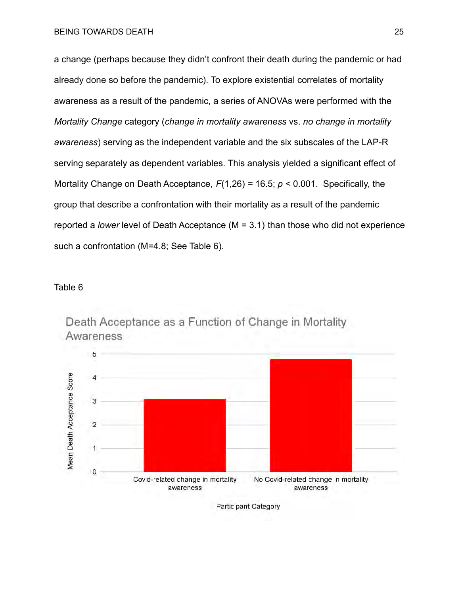a change (perhaps because they didn't confront their death during the pandemic or had already done so before the pandemic). To explore existential correlates of mortality awareness as a result of the pandemic, a series of ANOVAs were performed with the *Mortality Change* category (*change in mortality awareness* vs. *no change in mortality awareness*) serving as the independent variable and the six subscales of the LAP-R serving separately as dependent variables. This analysis yielded a significant effect of Mortality Change on Death Acceptance, *F*(1,26) *=* 16.5; *p <* 0.001. Specifically, the group that describe a confrontation with their mortality as a result of the pandemic reported a *lower* level of Death Acceptance (M = 3.1) than those who did not experience such a confrontation (M=4.8; See Table 6).

## Table 6



Death Acceptance as a Function of Change in Mortality Awareness

Participant Category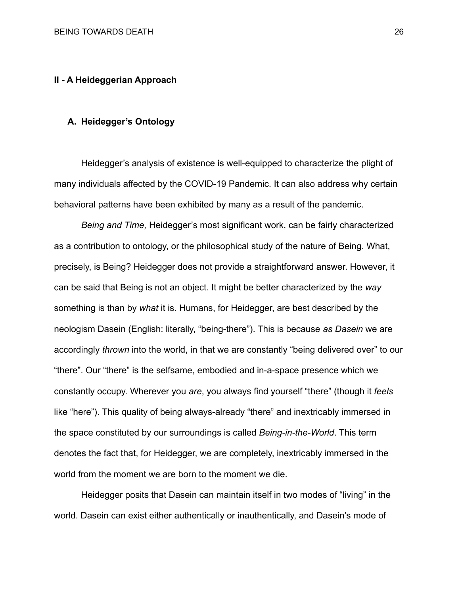## **II - A Heideggerian Approach**

## **A. Heidegger's Ontology**

Heidegger's analysis of existence is well-equipped to characterize the plight of many individuals affected by the COVID-19 Pandemic. It can also address why certain behavioral patterns have been exhibited by many as a result of the pandemic.

*Being and Time,* Heidegger's most significant work, can be fairly characterized as a contribution to ontology, or the philosophical study of the nature of Being. What, precisely, is Being? Heidegger does not provide a straightforward answer. However, it can be said that Being is not an object. It might be better characterized by the *way* something is than by *what* it is. Humans, for Heidegger, are best described by the neologism Dasein (English: literally, "being-there"). This is because *as Dasein* we are accordingly *thrown* into the world, in that we are constantly "being delivered over" to our "there". Our "there" is the selfsame, embodied and in-a-space presence which we constantly occupy. Wherever you *are*, you always find yourself "there" (though it *feels* like "here"). This quality of being always-already "there" and inextricably immersed in the space constituted by our surroundings is called *Being-in-the-World*. This term denotes the fact that, for Heidegger, we are completely, inextricably immersed in the world from the moment we are born to the moment we die.

Heidegger posits that Dasein can maintain itself in two modes of "living" in the world. Dasein can exist either authentically or inauthentically, and Dasein's mode of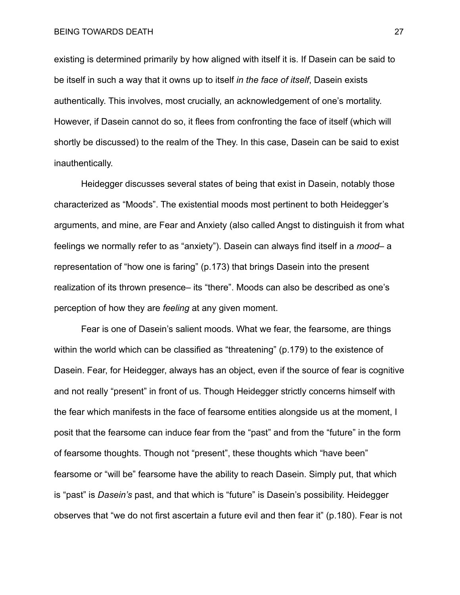existing is determined primarily by how aligned with itself it is. If Dasein can be said to be itself in such a way that it owns up to itself *in the face of itself*, Dasein exists authentically. This involves, most crucially, an acknowledgement of one's mortality. However, if Dasein cannot do so, it flees from confronting the face of itself (which will shortly be discussed) to the realm of the They. In this case, Dasein can be said to exist inauthentically.

Heidegger discusses several states of being that exist in Dasein, notably those characterized as "Moods". The existential moods most pertinent to both Heidegger's arguments, and mine, are Fear and Anxiety (also called Angst to distinguish it from what feelings we normally refer to as "anxiety"). Dasein can always find itself in a *mood–* a representation of "how one is faring" (p.173) that brings Dasein into the present realization of its thrown presence– its "there". Moods can also be described as one's perception of how they are *feeling* at any given moment.

Fear is one of Dasein's salient moods. What we fear, the fearsome, are things within the world which can be classified as "threatening" (p.179) to the existence of Dasein. Fear, for Heidegger, always has an object, even if the source of fear is cognitive and not really "present" in front of us. Though Heidegger strictly concerns himself with the fear which manifests in the face of fearsome entities alongside us at the moment, I posit that the fearsome can induce fear from the "past" and from the "future" in the form of fearsome thoughts. Though not "present", these thoughts which "have been" fearsome or "will be" fearsome have the ability to reach Dasein. Simply put, that which is "past" is *Dasein's* past, and that which is "future" is Dasein's possibility. Heidegger observes that "we do not first ascertain a future evil and then fear it" (p.180). Fear is not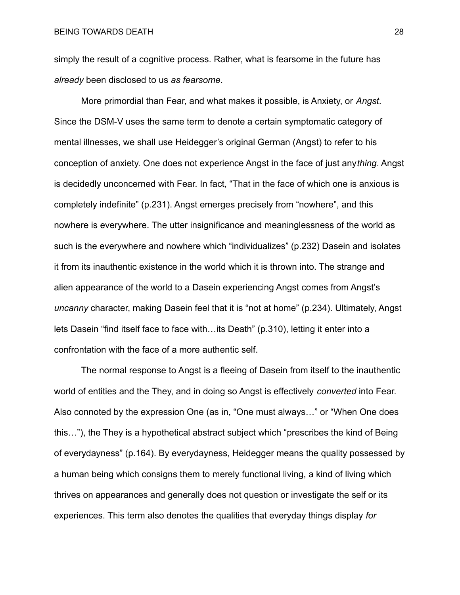simply the result of a cognitive process. Rather, what is fearsome in the future has *already* been disclosed to us *as fearsome*.

More primordial than Fear, and what makes it possible, is Anxiety, or *Angst*. Since the DSM-V uses the same term to denote a certain symptomatic category of mental illnesses, we shall use Heidegger's original German (Angst) to refer to his conception of anxiety. One does not experience Angst in the face of just any*thing*. Angst is decidedly unconcerned with Fear. In fact, "That in the face of which one is anxious is completely indefinite" (p.231). Angst emerges precisely from "nowhere", and this nowhere is everywhere. The utter insignificance and meaninglessness of the world as such is the everywhere and nowhere which "individualizes" (p.232) Dasein and isolates it from its inauthentic existence in the world which it is thrown into. The strange and alien appearance of the world to a Dasein experiencing Angst comes from Angst's *uncanny* character, making Dasein feel that it is "not at home" (p.234). Ultimately, Angst lets Dasein "find itself face to face with…its Death" (p.310), letting it enter into a confrontation with the face of a more authentic self.

The normal response to Angst is a fleeing of Dasein from itself to the inauthentic world of entities and the They, and in doing so Angst is effectively *converted* into Fear. Also connoted by the expression One (as in, "One must always…" or "When One does this…"), the They is a hypothetical abstract subject which "prescribes the kind of Being of everydayness" (p.164). By everydayness, Heidegger means the quality possessed by a human being which consigns them to merely functional living, a kind of living which thrives on appearances and generally does not question or investigate the self or its experiences. This term also denotes the qualities that everyday things display *for*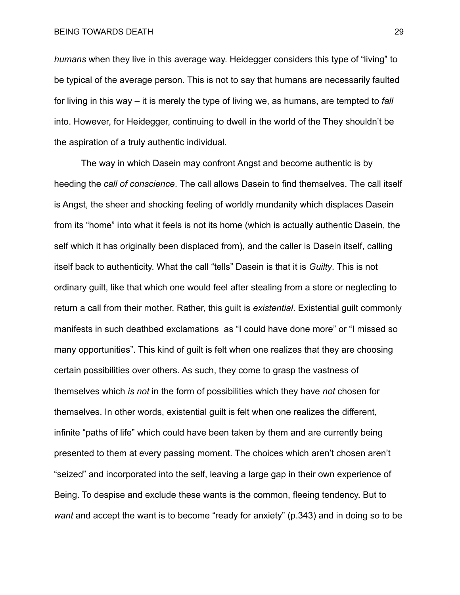BEING TOWARDS DEATH 29

*humans* when they live in this average way. Heidegger considers this type of "living" to be typical of the average person. This is not to say that humans are necessarily faulted for living in this way – it is merely the type of living we, as humans, are tempted to *fall* into. However, for Heidegger, continuing to dwell in the world of the They shouldn't be the aspiration of a truly authentic individual.

The way in which Dasein may confront Angst and become authentic is by heeding the *call of conscience*. The call allows Dasein to find themselves. The call itself is Angst, the sheer and shocking feeling of worldly mundanity which displaces Dasein from its "home" into what it feels is not its home (which is actually authentic Dasein, the self which it has originally been displaced from), and the caller is Dasein itself, calling itself back to authenticity. What the call "tells" Dasein is that it is *Guilty*. This is not ordinary guilt, like that which one would feel after stealing from a store or neglecting to return a call from their mother. Rather, this guilt is *existential*. Existential guilt commonly manifests in such deathbed exclamations as "I could have done more" or "I missed so many opportunities". This kind of guilt is felt when one realizes that they are choosing certain possibilities over others. As such, they come to grasp the vastness of themselves which *is not* in the form of possibilities which they have *not* chosen for themselves. In other words, existential guilt is felt when one realizes the different, infinite "paths of life" which could have been taken by them and are currently being presented to them at every passing moment. The choices which aren't chosen aren't "seized" and incorporated into the self, leaving a large gap in their own experience of Being. To despise and exclude these wants is the common, fleeing tendency. But to *want* and accept the want is to become "ready for anxiety" (p.343) and in doing so to be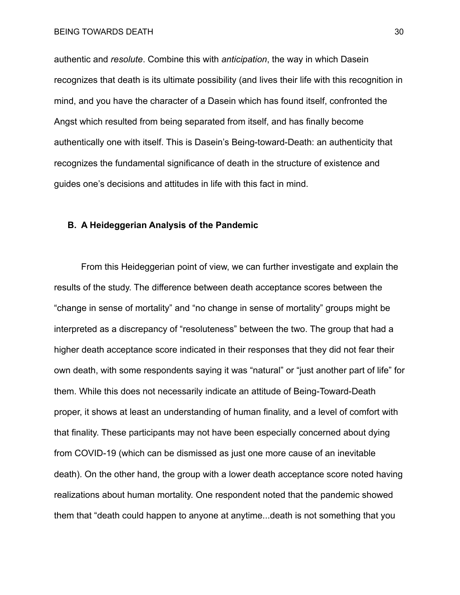authentic and *resolute*. Combine this with *anticipation*, the way in which Dasein recognizes that death is its ultimate possibility (and lives their life with this recognition in mind, and you have the character of a Dasein which has found itself, confronted the Angst which resulted from being separated from itself, and has finally become authentically one with itself. This is Dasein's Being-toward-Death: an authenticity that recognizes the fundamental significance of death in the structure of existence and guides one's decisions and attitudes in life with this fact in mind.

## **B. A Heideggerian Analysis of the Pandemic**

From this Heideggerian point of view, we can further investigate and explain the results of the study. The difference between death acceptance scores between the "change in sense of mortality" and "no change in sense of mortality" groups might be interpreted as a discrepancy of "resoluteness" between the two. The group that had a higher death acceptance score indicated in their responses that they did not fear their own death, with some respondents saying it was "natural" or "just another part of life" for them. While this does not necessarily indicate an attitude of Being-Toward-Death proper, it shows at least an understanding of human finality, and a level of comfort with that finality. These participants may not have been especially concerned about dying from COVID-19 (which can be dismissed as just one more cause of an inevitable death). On the other hand, the group with a lower death acceptance score noted having realizations about human mortality. One respondent noted that the pandemic showed them that "death could happen to anyone at anytime...death is not something that you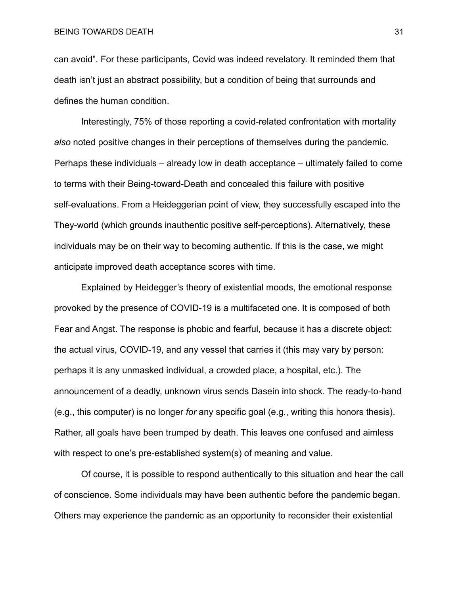can avoid". For these participants, Covid was indeed revelatory. It reminded them that death isn't just an abstract possibility, but a condition of being that surrounds and defines the human condition.

Interestingly, 75% of those reporting a covid-related confrontation with mortality *also* noted positive changes in their perceptions of themselves during the pandemic. Perhaps these individuals – already low in death acceptance – ultimately failed to come to terms with their Being-toward-Death and concealed this failure with positive self-evaluations. From a Heideggerian point of view, they successfully escaped into the They-world (which grounds inauthentic positive self-perceptions). Alternatively, these individuals may be on their way to becoming authentic. If this is the case, we might anticipate improved death acceptance scores with time.

Explained by Heidegger's theory of existential moods, the emotional response provoked by the presence of COVID-19 is a multifaceted one. It is composed of both Fear and Angst. The response is phobic and fearful, because it has a discrete object: the actual virus, COVID-19, and any vessel that carries it (this may vary by person: perhaps it is any unmasked individual, a crowded place, a hospital, etc.). The announcement of a deadly, unknown virus sends Dasein into shock. The ready-to-hand (e.g., this computer) is no longer *for* any specific goal (e.g., writing this honors thesis). Rather, all goals have been trumped by death. This leaves one confused and aimless with respect to one's pre-established system(s) of meaning and value.

Of course, it is possible to respond authentically to this situation and hear the call of conscience. Some individuals may have been authentic before the pandemic began. Others may experience the pandemic as an opportunity to reconsider their existential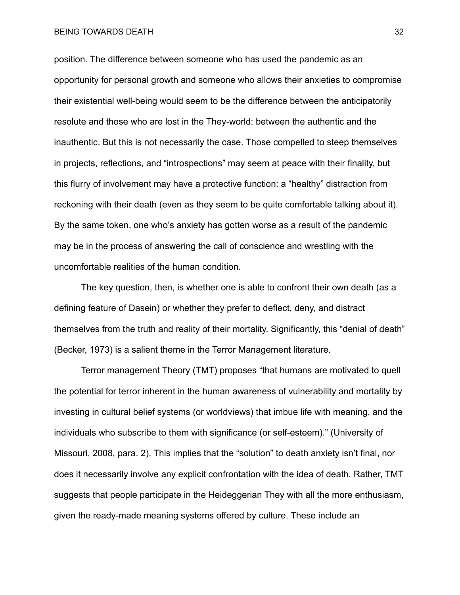#### BEING TOWARDS DEATH 32

position. The difference between someone who has used the pandemic as an opportunity for personal growth and someone who allows their anxieties to compromise their existential well-being would seem to be the difference between the anticipatorily resolute and those who are lost in the They-world: between the authentic and the inauthentic. But this is not necessarily the case. Those compelled to steep themselves in projects, reflections, and "introspections" may seem at peace with their finality, but this flurry of involvement may have a protective function: a "healthy" distraction from reckoning with their death (even as they seem to be quite comfortable talking about it). By the same token, one who's anxiety has gotten worse as a result of the pandemic may be in the process of answering the call of conscience and wrestling with the uncomfortable realities of the human condition.

The key question, then, is whether one is able to confront their own death (as a defining feature of Dasein) or whether they prefer to deflect, deny, and distract themselves from the truth and reality of their mortality. Significantly, this "denial of death" (Becker, 1973) is a salient theme in the Terror Management literature.

Terror management Theory (TMT) proposes "that humans are motivated to quell the potential for terror inherent in the human awareness of vulnerability and mortality by investing in cultural belief systems (or worldviews) that imbue life with meaning, and the individuals who subscribe to them with significance (or self-esteem)." (University of Missouri, 2008, para. 2). This implies that the "solution" to death anxiety isn't final, nor does it necessarily involve any explicit confrontation with the idea of death. Rather, TMT suggests that people participate in the Heideggerian They with all the more enthusiasm, given the ready-made meaning systems offered by culture. These include an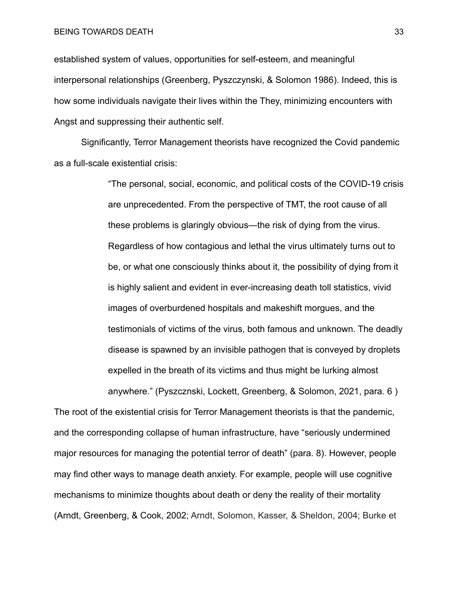#### BEING TOWARDS DEATH 33

established system of values, opportunities for self-esteem, and meaningful interpersonal relationships (Greenberg, Pyszczynski, & Solomon 1986). Indeed, this is how some individuals navigate their lives within the They, minimizing encounters with Angst and suppressing their authentic self.

Significantly, Terror Management theorists have recognized the Covid pandemic as a full-scale existential crisis:

> "The personal, social, economic, and political costs of the COVID-19 crisis are unprecedented. From the perspective of TMT, the root cause of all these problems is glaringly obvious—the risk of dying from the virus. Regardless of how contagious and lethal the virus ultimately turns out to be, or what one consciously thinks about it, the possibility of dying from it is highly salient and evident in ever-increasing death toll statistics, vivid images of overburdened hospitals and makeshift morgues, and the testimonials of victims of the virus, both famous and unknown. The deadly disease is spawned by an invisible pathogen that is conveyed by droplets expelled in the breath of its victims and thus might be lurking almost anywhere." (Pyszcznski, Lockett, Greenberg, & Solomon, 2021, para. 6 )

The root of the existential crisis for Terror Management theorists is that the pandemic, and the corresponding collapse of human infrastructure, have "seriously undermined major resources for managing the potential terror of death" (para. 8). However, people may find other ways to manage death anxiety. For example, people will use cognitive mechanisms to minimize thoughts about death or deny the reality of their mortality (Arndt, Greenberg, & Cook, 2002; Arndt, Solomon, Kasser, & Sheldon, 2004; Burke et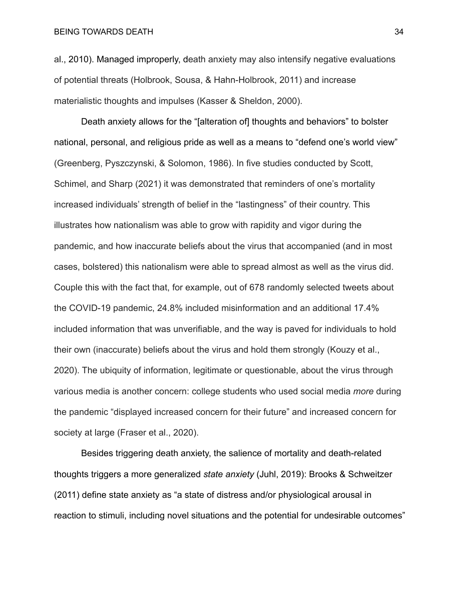al., 2010). Managed improperly, death anxiety may also intensify negative evaluations of potential threats (Holbrook, Sousa, & Hahn-Holbrook, 2011) and increase materialistic thoughts and impulses (Kasser & Sheldon, 2000).

Death anxiety allows for the "[alteration of] thoughts and behaviors" to bolster national, personal, and religious pride as well as a means to "defend one's world view" (Greenberg, Pyszczynski, & Solomon, 1986). In five studies conducted by Scott, Schimel, and Sharp (2021) it was demonstrated that reminders of one's mortality increased individuals' strength of belief in the "lastingness" of their country. This illustrates how nationalism was able to grow with rapidity and vigor during the pandemic, and how inaccurate beliefs about the virus that accompanied (and in most cases, bolstered) this nationalism were able to spread almost as well as the virus did. Couple this with the fact that, for example, out of 678 randomly selected tweets about the COVID-19 pandemic, 24.8% included misinformation and an additional 17.4% included information that was unverifiable, and the way is paved for individuals to hold their own (inaccurate) beliefs about the virus and hold them strongly (Kouzy et al., 2020). The ubiquity of information, legitimate or questionable, about the virus through various media is another concern: college students who used social media *more* during the pandemic "displayed increased concern for their future" and increased concern for society at large (Fraser et al., 2020).

Besides triggering death anxiety, the salience of mortality and death-related thoughts triggers a more generalized *state anxiety* (Juhl, 2019): Brooks & Schweitzer (2011) define state anxiety as "a state of distress and/or physiological arousal in reaction to stimuli, including novel situations and the potential for undesirable outcomes"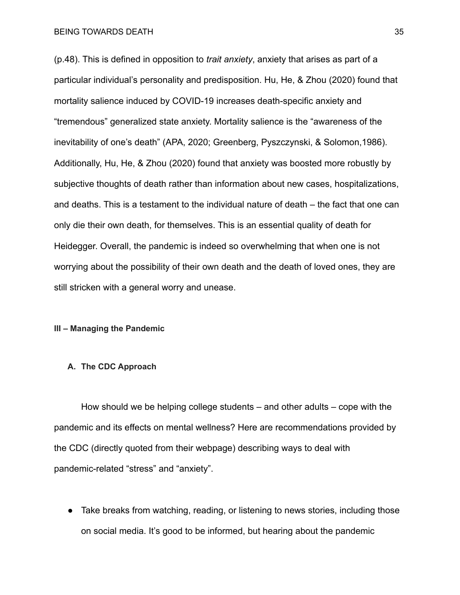(p.48). This is defined in opposition to *trait anxiety*, anxiety that arises as part of a particular individual's personality and predisposition. Hu, He, & Zhou (2020) found that mortality salience induced by COVID-19 increases death-specific anxiety and "tremendous" generalized state anxiety. Mortality salience is the "awareness of the inevitability of one's death" (APA, 2020; Greenberg, Pyszczynski, & Solomon,1986). Additionally, Hu, He, & Zhou (2020) found that anxiety was boosted more robustly by subjective thoughts of death rather than information about new cases, hospitalizations, and deaths. This is a testament to the individual nature of death – the fact that one can only die their own death, for themselves. This is an essential quality of death for Heidegger. Overall, the pandemic is indeed so overwhelming that when one is not worrying about the possibility of their own death and the death of loved ones, they are still stricken with a general worry and unease.

## **III – Managing the Pandemic**

#### **A. The CDC Approach**

How should we be helping college students – and other adults – cope with the pandemic and its effects on mental wellness? Here are recommendations provided by the CDC (directly quoted from their webpage) describing ways to deal with pandemic-related "stress" and "anxiety".

● Take breaks from watching, reading, or listening to news stories, including those on social media. It's good to be informed, but hearing about the pandemic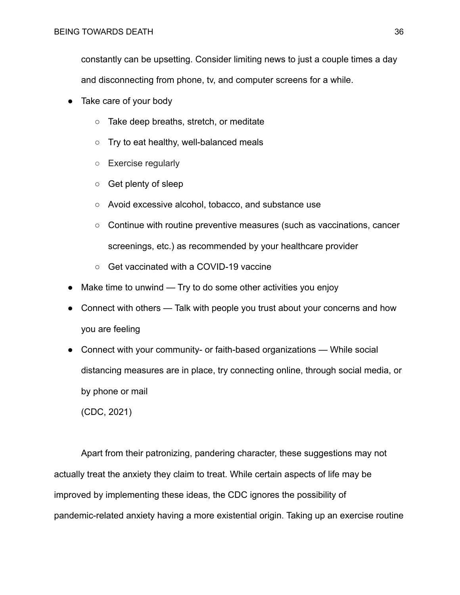constantly can be upsetting. Consider limiting news to just a couple times a day and disconnecting from phone, tv, and computer screens for a while.

- Take care of your body
	- Take deep breaths, stretch, or meditate
	- Try to eat healthy, well-balanced meals
	- Exercise regularly
	- Get plenty of sleep
	- Avoid excessive alcohol, tobacco, and substance use
	- Continue with routine preventive measures (such as vaccinations, cancer screenings, etc.) as recommended by your healthcare provider
	- Get vaccinated with a COVID-19 vaccine
- Make time to unwind  $-$  Try to do some other activities you enjoy
- Connect with others Talk with people you trust about your concerns and how you are feeling
- Connect with your community- or faith-based organizations While social distancing measures are in place, try connecting online, through social media, or by phone or mail

(CDC, 2021)

Apart from their patronizing, pandering character, these suggestions may not actually treat the anxiety they claim to treat. While certain aspects of life may be improved by implementing these ideas, the CDC ignores the possibility of pandemic-related anxiety having a more existential origin. Taking up an exercise routine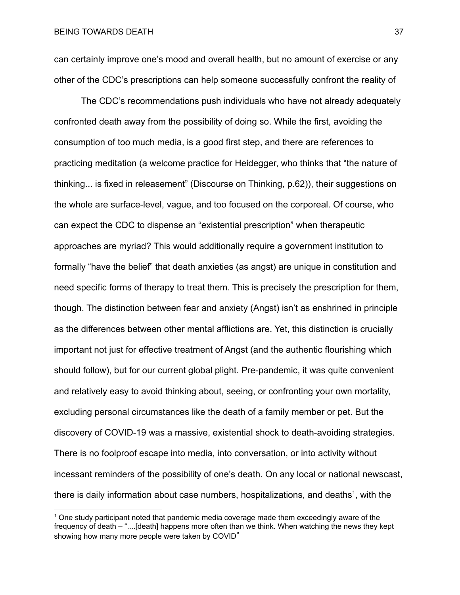can certainly improve one's mood and overall health, but no amount of exercise or any other of the CDC's prescriptions can help someone successfully confront the reality of

The CDC's recommendations push individuals who have not already adequately confronted death away from the possibility of doing so. While the first, avoiding the consumption of too much media, is a good first step, and there are references to practicing meditation (a welcome practice for Heidegger, who thinks that "the nature of thinking... is fixed in releasement" (Discourse on Thinking, p.62)), their suggestions on the whole are surface-level, vague, and too focused on the corporeal. Of course, who can expect the CDC to dispense an "existential prescription" when therapeutic approaches are myriad? This would additionally require a government institution to formally "have the belief" that death anxieties (as angst) are unique in constitution and need specific forms of therapy to treat them. This is precisely the prescription for them, though. The distinction between fear and anxiety (Angst) isn't as enshrined in principle as the differences between other mental afflictions are. Yet, this distinction is crucially important not just for effective treatment of Angst (and the authentic flourishing which should follow), but for our current global plight. Pre-pandemic, it was quite convenient and relatively easy to avoid thinking about, seeing, or confronting your own mortality, excluding personal circumstances like the death of a family member or pet. But the discovery of COVID-19 was a massive, existential shock to death-avoiding strategies. There is no foolproof escape into media, into conversation, or into activity without incessant reminders of the possibility of one's death. On any local or national newscast, there is daily information about case numbers, hospitalizations, and deaths<sup>1</sup>, with the

 $1$  One study participant noted that pandemic media coverage made them exceedingly aware of the frequency of death – "....[death] happens more often than we think. When watching the news they kept showing how many more people were taken by COVID"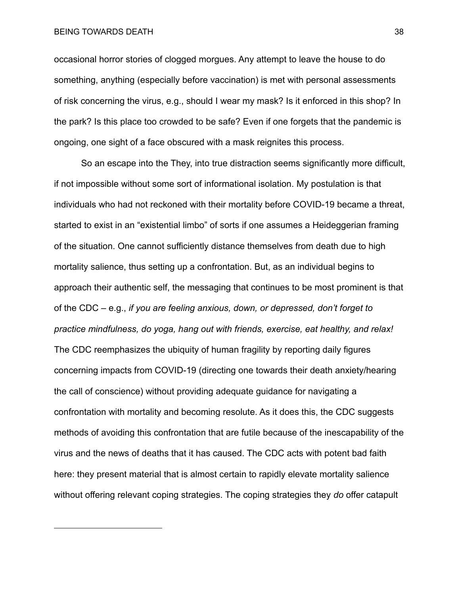#### BEING TOWARDS DEATH 38

occasional horror stories of clogged morgues. Any attempt to leave the house to do something, anything (especially before vaccination) is met with personal assessments of risk concerning the virus, e.g., should I wear my mask? Is it enforced in this shop? In the park? Is this place too crowded to be safe? Even if one forgets that the pandemic is ongoing, one sight of a face obscured with a mask reignites this process.

So an escape into the They, into true distraction seems significantly more difficult, if not impossible without some sort of informational isolation. My postulation is that individuals who had not reckoned with their mortality before COVID-19 became a threat, started to exist in an "existential limbo" of sorts if one assumes a Heideggerian framing of the situation. One cannot sufficiently distance themselves from death due to high mortality salience, thus setting up a confrontation. But, as an individual begins to approach their authentic self, the messaging that continues to be most prominent is that of the CDC – e.g., *if you are feeling anxious, down, or depressed, don't forget to practice mindfulness, do yoga, hang out with friends, exercise, eat healthy, and relax!* The CDC reemphasizes the ubiquity of human fragility by reporting daily figures concerning impacts from COVID-19 (directing one towards their death anxiety/hearing the call of conscience) without providing adequate guidance for navigating a confrontation with mortality and becoming resolute. As it does this, the CDC suggests methods of avoiding this confrontation that are futile because of the inescapability of the virus and the news of deaths that it has caused. The CDC acts with potent bad faith here: they present material that is almost certain to rapidly elevate mortality salience without offering relevant coping strategies. The coping strategies they *do* offer catapult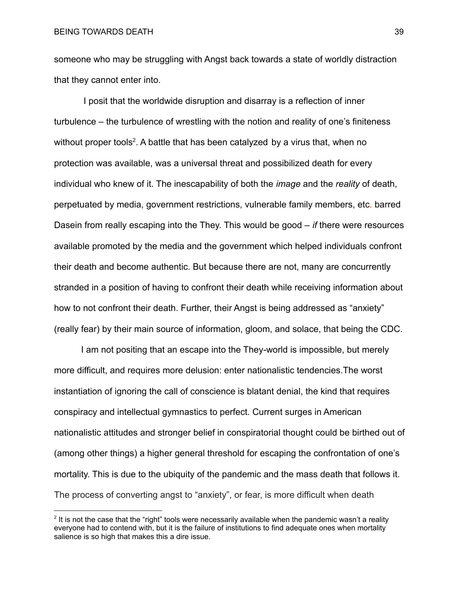someone who may be struggling with Angst back towards a state of worldly distraction that they cannot enter into.

I posit that the worldwide disruption and disarray is a reflection of inner turbulence – the turbulence of wrestling with the notion and reality of one's finiteness without proper tools<sup>2</sup>. A battle that has been catalyzed by a virus that, when no protection was available, was a universal threat and possibilized death for every individual who knew of it. The inescapability of both the *image* and the *reality* of death, perpetuated by media, government restrictions, vulnerable family members, etc. barred Dasein from really escaping into the They. This would be good – *if* there were resources available promoted by the media and the government which helped individuals confront their death and become authentic. But because there are not, many are concurrently stranded in a position of having to confront their death while receiving information about how to not confront their death. Further, their Angst is being addressed as "anxiety" (really fear) by their main source of information, gloom, and solace, that being the CDC.

I am not positing that an escape into the They-world is impossible, but merely more difficult, and requires more delusion: enter nationalistic tendencies.The worst instantiation of ignoring the call of conscience is blatant denial, the kind that requires conspiracy and intellectual gymnastics to perfect. Current surges in American nationalistic attitudes and stronger belief in conspiratorial thought could be birthed out of (among other things) a higher general threshold for escaping the confrontation of one's mortality. This is due to the ubiquity of the pandemic and the mass death that follows it. The process of converting angst to "anxiety", or fear, is more difficult when death

 $2$  It is not the case that the "right" tools were necessarily available when the pandemic wasn't a reality everyone had to contend with, but it is the failure of institutions to find adequate ones when mortality salience is so high that makes this a dire issue.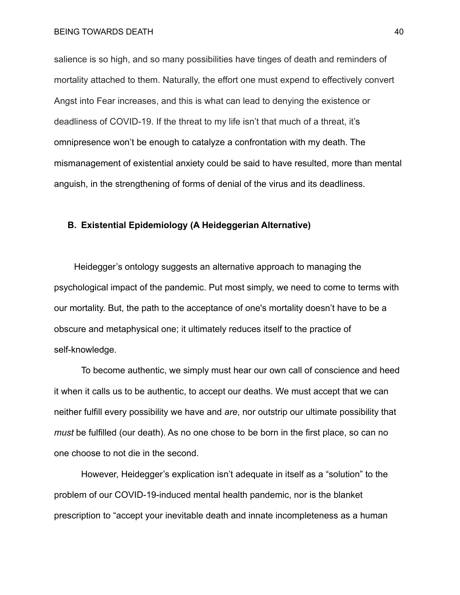salience is so high, and so many possibilities have tinges of death and reminders of mortality attached to them. Naturally, the effort one must expend to effectively convert Angst into Fear increases, and this is what can lead to denying the existence or deadliness of COVID-19. If the threat to my life isn't that much of a threat, it's omnipresence won't be enough to catalyze a confrontation with my death. The mismanagement of existential anxiety could be said to have resulted, more than mental anguish, in the strengthening of forms of denial of the virus and its deadliness.

## **B. Existential Epidemiology (A Heideggerian Alternative)**

Heidegger's ontology suggests an alternative approach to managing the psychological impact of the pandemic. Put most simply, we need to come to terms with our mortality. But, the path to the acceptance of one's mortality doesn't have to be a obscure and metaphysical one; it ultimately reduces itself to the practice of self-knowledge.

To become authentic, we simply must hear our own call of conscience and heed it when it calls us to be authentic, to accept our deaths. We must accept that we can neither fulfill every possibility we have and *are*, nor outstrip our ultimate possibility that *must* be fulfilled (our death). As no one chose to be born in the first place, so can no one choose to not die in the second.

However, Heidegger's explication isn't adequate in itself as a "solution" to the problem of our COVID-19-induced mental health pandemic, nor is the blanket prescription to "accept your inevitable death and innate incompleteness as a human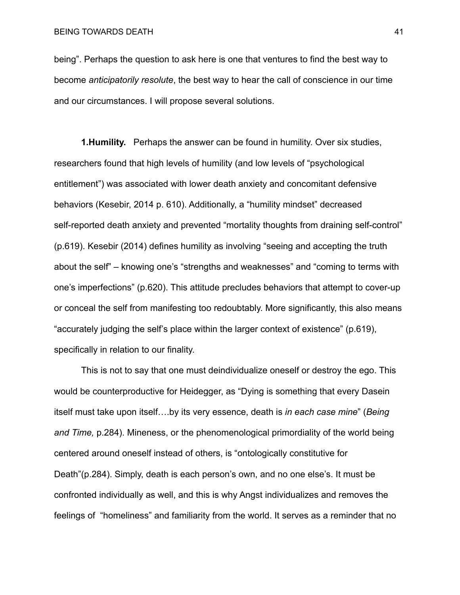being". Perhaps the question to ask here is one that ventures to find the best way to become *anticipatorily resolute*, the best way to hear the call of conscience in our time and our circumstances. I will propose several solutions.

**1.Humility.** Perhaps the answer can be found in humility. Over six studies, researchers found that high levels of humility (and low levels of "psychological entitlement") was associated with lower death anxiety and concomitant defensive behaviors (Kesebir, 2014 p. 610). Additionally, a "humility mindset" decreased self-reported death anxiety and prevented "mortality thoughts from draining self-control" (p.619). Kesebir (2014) defines humility as involving "seeing and accepting the truth about the self" – knowing one's "strengths and weaknesses" and "coming to terms with one's imperfections" (p.620). This attitude precludes behaviors that attempt to cover-up or conceal the self from manifesting too redoubtably. More significantly, this also means "accurately judging the self's place within the larger context of existence" (p.619), specifically in relation to our finality.

This is not to say that one must deindividualize oneself or destroy the ego. This would be counterproductive for Heidegger, as "Dying is something that every Dasein itself must take upon [itself….by](https://itself�.by) its very essence, death is *in each case mine*" (*Being and Time,* p.284). Mineness, or the phenomenological primordiality of the world being centered around oneself instead of others, is "ontologically constitutive for Death"(p.284). Simply, death is each person's own, and no one else's. It must be confronted individually as well, and this is why Angst individualizes and removes the feelings of "homeliness" and familiarity from the world. It serves as a reminder that no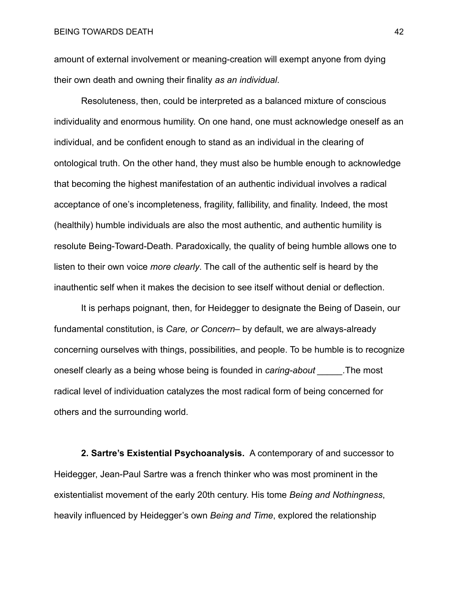amount of external involvement or meaning-creation will exempt anyone from dying their own death and owning their finality *as an individual*.

Resoluteness, then, could be interpreted as a balanced mixture of conscious individuality and enormous humility. On one hand, one must acknowledge oneself as an individual, and be confident enough to stand as an individual in the clearing of ontological truth. On the other hand, they must also be humble enough to acknowledge that becoming the highest manifestation of an authentic individual involves a radical acceptance of one's incompleteness, fragility, fallibility, and finality. Indeed, the most (healthily) humble individuals are also the most authentic, and authentic humility is resolute Being-Toward-Death. Paradoxically, the quality of being humble allows one to listen to their own voice *more clearly*. The call of the authentic self is heard by the inauthentic self when it makes the decision to see itself without denial or deflection.

It is perhaps poignant, then, for Heidegger to designate the Being of Dasein, our fundamental constitution, is *Care, or Concern*– by default, we are always-already concerning ourselves with things, possibilities, and people. To be humble is to recognize oneself clearly as a being whose being is founded in *caring-about \_\_\_\_\_.*The most radical level of individuation catalyzes the most radical form of being concerned for others and the surrounding world.

**2. Sartre's Existential Psychoanalysis.** A contemporary of and successor to Heidegger, Jean-Paul Sartre was a french thinker who was most prominent in the existentialist movement of the early 20th century. His tome *Being and Nothingness*, heavily influenced by Heidegger's own *Being and Time*, explored the relationship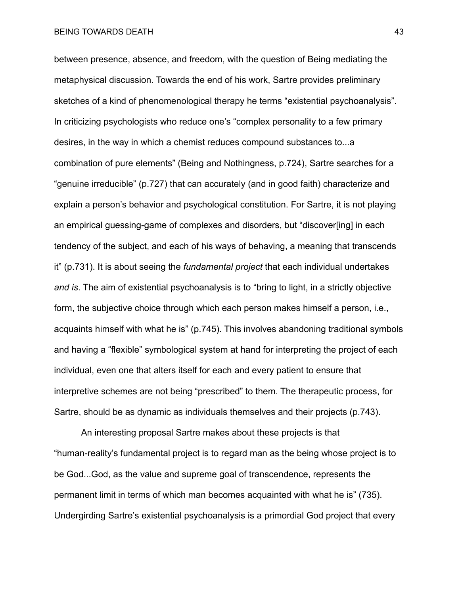between presence, absence, and freedom, with the question of Being mediating the metaphysical discussion. Towards the end of his work, Sartre provides preliminary sketches of a kind of phenomenological therapy he terms "existential psychoanalysis". In criticizing psychologists who reduce one's "complex personality to a few primary desires, in the way in which a chemist reduces compound substances to...a combination of pure elements" (Being and Nothingness, p.724), Sartre searches for a "genuine irreducible" (p.727) that can accurately (and in good faith) characterize and explain a person's behavior and psychological constitution. For Sartre, it is not playing an empirical guessing-game of complexes and disorders, but "discover[ing] in each tendency of the subject, and each of his ways of behaving, a meaning that transcends it" (p.731). It is about seeing the *fundamental project* that each individual undertakes *and is*. The aim of existential psychoanalysis is to "bring to light, in a strictly objective form, the subjective choice through which each person makes himself a person, i.e., acquaints himself with what he is" (p.745). This involves abandoning traditional symbols and having a "flexible" symbological system at hand for interpreting the project of each individual, even one that alters itself for each and every patient to ensure that interpretive schemes are not being "prescribed" to them. The therapeutic process, for Sartre, should be as dynamic as individuals themselves and their projects (p.743).

An interesting proposal Sartre makes about these projects is that "human-reality's fundamental project is to regard man as the being whose project is to be God...God, as the value and supreme goal of transcendence, represents the permanent limit in terms of which man becomes acquainted with what he is" (735). Undergirding Sartre's existential psychoanalysis is a primordial God project that every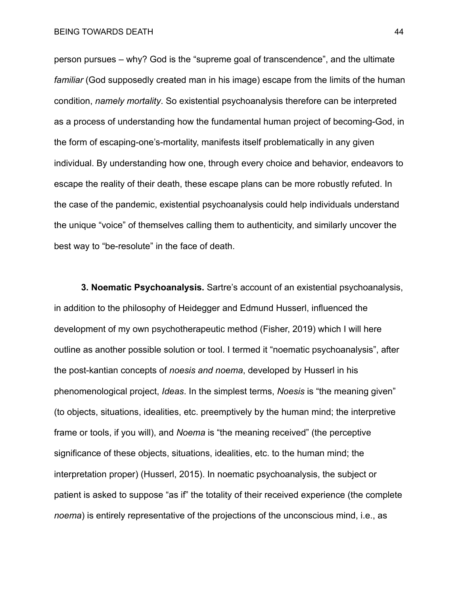person pursues – why? God is the "supreme goal of transcendence", and the ultimate *familiar* (God supposedly created man in his image) escape from the limits of the human condition, *namely mortality*. So existential psychoanalysis therefore can be interpreted as a process of understanding how the fundamental human project of becoming-God, in the form of escaping-one's-mortality, manifests itself problematically in any given individual. By understanding how one, through every choice and behavior, endeavors to escape the reality of their death, these escape plans can be more robustly refuted. In the case of the pandemic, existential psychoanalysis could help individuals understand the unique "voice" of themselves calling them to authenticity, and similarly uncover the best way to "be-resolute" in the face of death.

**3. Noematic Psychoanalysis.** Sartre's account of an existential psychoanalysis, in addition to the philosophy of Heidegger and Edmund Husserl, influenced the development of my own psychotherapeutic method (Fisher, 2019) which I will here outline as another possible solution or tool. I termed it "noematic psychoanalysis", after the post-kantian concepts of *noesis and noema*, developed by Husserl in his phenomenological project, *Ideas*. In the simplest terms, *Noesis* is "the meaning given" (to objects, situations, idealities, etc. preemptively by the human mind; the interpretive frame or tools, if you will), and *Noema* is "the meaning received" (the perceptive significance of these objects, situations, idealities, etc. to the human mind; the interpretation proper) (Husserl, 2015). In noematic psychoanalysis, the subject or patient is asked to suppose "as if" the totality of their received experience (the complete *noema*) is entirely representative of the projections of the unconscious mind, i.e., as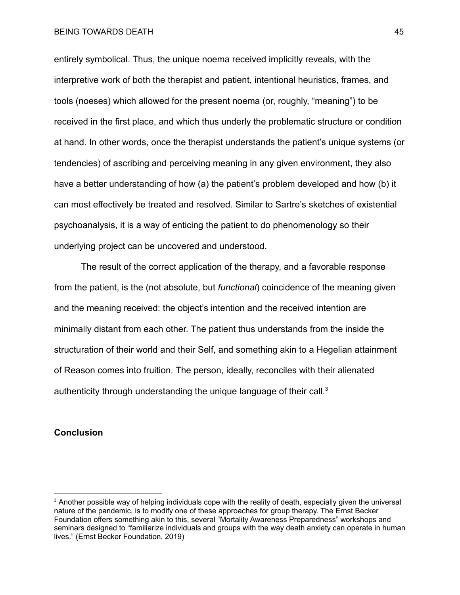entirely symbolical. Thus, the unique noema received implicitly reveals, with the interpretive work of both the therapist and patient, intentional heuristics, frames, and tools (noeses) which allowed for the present noema (or, roughly, "meaning") to be received in the first place, and which thus underly the problematic structure or condition at hand. In other words, once the therapist understands the patient's unique systems (or tendencies) of ascribing and perceiving meaning in any given environment, they also have a better understanding of how (a) the patient's problem developed and how (b) it can most effectively be treated and resolved. Similar to Sartre's sketches of existential psychoanalysis, it is a way of enticing the patient to do phenomenology so their underlying project can be uncovered and understood.

The result of the correct application of the therapy, and a favorable response from the patient, is the (not absolute, but *functional*) coincidence of the meaning given and the meaning received: the object's intention and the received intention are minimally distant from each other. The patient thus understands from the inside the structuration of their world and their Self, and something akin to a Hegelian attainment of Reason comes into fruition. The person, ideally, reconciles with their alienated authenticity through understanding the unique language of their call.<sup>3</sup>

## **Conclusion**

 $3$  Another possible way of helping individuals cope with the reality of death, especially given the universal nature of the pandemic, is to modify one of these approaches for group therapy. The Ernst Becker Foundation offers something akin to this, several "Mortality Awareness Preparedness" workshops and seminars designed to "familiarize individuals and groups with the way death anxiety can operate in human lives." (Ernst Becker Foundation, 2019)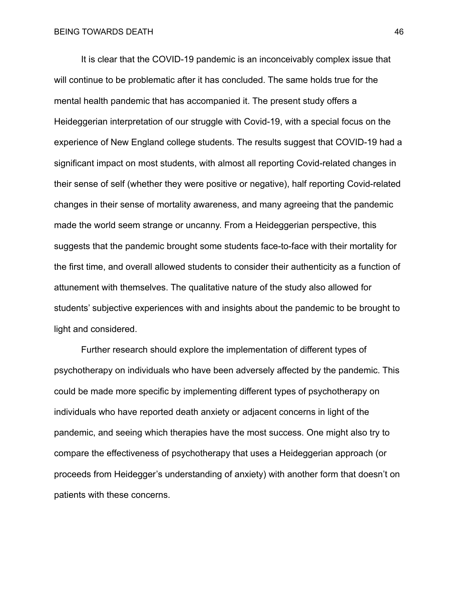It is clear that the COVID-19 pandemic is an inconceivably complex issue that will continue to be problematic after it has concluded. The same holds true for the mental health pandemic that has accompanied it. The present study offers a Heideggerian interpretation of our struggle with Covid-19, with a special focus on the experience of New England college students. The results suggest that COVID-19 had a significant impact on most students, with almost all reporting Covid-related changes in their sense of self (whether they were positive or negative), half reporting Covid-related changes in their sense of mortality awareness, and many agreeing that the pandemic made the world seem strange or uncanny. From a Heideggerian perspective, this suggests that the pandemic brought some students face-to-face with their mortality for the first time, and overall allowed students to consider their authenticity as a function of attunement with themselves. The qualitative nature of the study also allowed for students' subjective experiences with and insights about the pandemic to be brought to light and considered.

Further research should explore the implementation of different types of psychotherapy on individuals who have been adversely affected by the pandemic. This could be made more specific by implementing different types of psychotherapy on individuals who have reported death anxiety or adjacent concerns in light of the pandemic, and seeing which therapies have the most success. One might also try to compare the effectiveness of psychotherapy that uses a Heideggerian approach (or proceeds from Heidegger's understanding of anxiety) with another form that doesn't on patients with these concerns.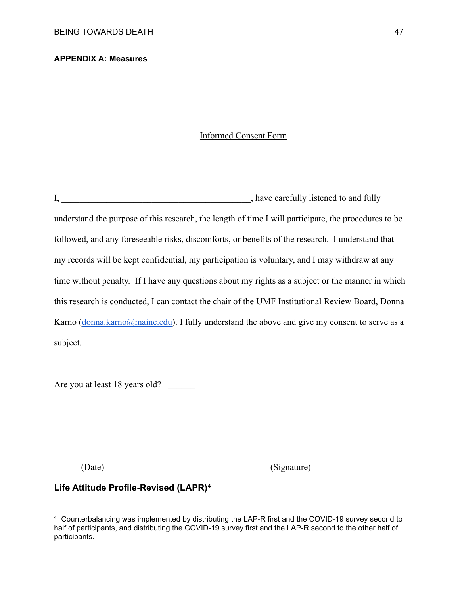## **APPENDIX A: Measures**

#### Informed Consent Form

I, \_\_\_\_\_\_\_\_\_\_\_\_\_\_\_\_\_\_\_\_\_\_\_\_\_\_\_\_\_\_\_\_\_\_, have carefully listened to and fully understand the purpose of this research, the length of time I will participate, the procedures to be followed, and any foreseeable risks, discomforts, or benefits of the research. I understand that my records will be kept confidential, my participation is voluntary, and I may withdraw at any time without penalty. If I have any questions about my rights as a subject or the manner in which this research is conducted, I can contact the chair of the UMF Institutional Review Board, Donna Karno  $(donna.karno@maine.edu)$  $(donna.karno@maine.edu)$  $(donna.karno@maine.edu)$ . I fully understand the above and give my consent to serve as a subject.

Are you at least 18 years old?

(Date) (Signature)

## **Life Attitude Profile-Revised (LAPR)4**

 $\mathcal{L}_\text{max}$  and the contract of the contract of the contract of the contract of the contract of the contract of

 $4$  Counterbalancing was implemented by distributing the LAP-R first and the COVID-19 survey second to half of participants, and distributing the COVID-19 survey first and the LAP-R second to the other half of participants.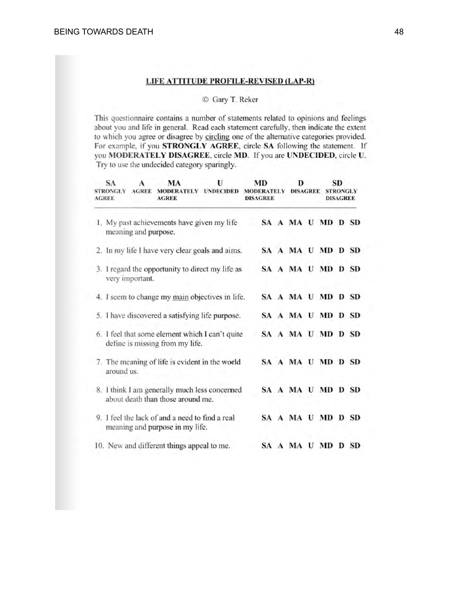#### LIFE ATTITUDE PROFILE-REVISED (LAP-R)

#### C Gary T. Reker

This questionnaire contains a number of statements related to opinions and feelings about you and life in general. Read each statement carefully, then indicate the extent to which you agree or disagree by circling one of the alternative categories provided. For example, if you STRONGLY AGREE, circle SA following the statement. If you MODERATELY DISAGREE, circle MD. If you are UNDECIDED, circle U. Try to use the undecided category sparingly.

| SА<br><b>STRONGLY</b><br><b>AGREE</b>                                              | A<br><b>AGREE</b>                               | MA<br>MODERATELY UNDECIDED<br><b>AGREE</b>                                         | U                 | MD<br><b>MODERATELY</b><br><b>DISAGREE</b> |  | D<br><b>DISAGREE</b> |  | SD<br><b>STRONGLY</b><br><b>DISAGREE</b> |  |  |
|------------------------------------------------------------------------------------|-------------------------------------------------|------------------------------------------------------------------------------------|-------------------|--------------------------------------------|--|----------------------|--|------------------------------------------|--|--|
|                                                                                    | meaning and purpose.                            | 1. My past achievements have given my life                                         |                   |                                            |  | SA A MA U MD D SD    |  |                                          |  |  |
|                                                                                    |                                                 | 2. In my life I have very clear goals and aims.                                    |                   |                                            |  | SA A MA U MD D SD    |  |                                          |  |  |
| 3. I regard the opportunity to direct my life as<br>very important.                |                                                 |                                                                                    | SA A MA U MD D SD |                                            |  |                      |  |                                          |  |  |
| 4. I seem to change my main objectives in life.                                    |                                                 |                                                                                    | SA A MA U MD D SD |                                            |  |                      |  |                                          |  |  |
|                                                                                    | 5. I have discovered a satisfying life purpose. |                                                                                    |                   |                                            |  | SA A MA U MD D SD    |  |                                          |  |  |
| 6. I feel that some element which I can't quite<br>define is missing from my life. |                                                 |                                                                                    |                   |                                            |  | SA A MA U MD D SD    |  |                                          |  |  |
| around us.                                                                         |                                                 | 7. The meaning of life is evident in the world                                     |                   |                                            |  | SA A MA U MD D SD    |  |                                          |  |  |
|                                                                                    |                                                 | 8. I think I am generally much less concerned<br>about death than those around me. |                   |                                            |  | SA A MA U MD D SD    |  |                                          |  |  |
|                                                                                    |                                                 | 9. I feel the lack of and a need to find a real<br>meaning and purpose in my life. |                   |                                            |  | SA A MA U MD D SD    |  |                                          |  |  |
|                                                                                    |                                                 | 10. New and different things appeal to me.                                         |                   |                                            |  | SA A MA U MD D SD    |  |                                          |  |  |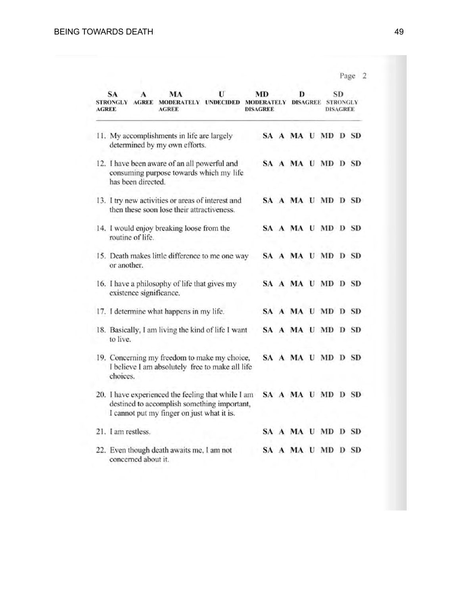|       |                                                                |                     |                                                                                                                                                 |   |                                            |                      |  |                                   | Page 2 |  |
|-------|----------------------------------------------------------------|---------------------|-------------------------------------------------------------------------------------------------------------------------------------------------|---|--------------------------------------------|----------------------|--|-----------------------------------|--------|--|
| AGREE | SА<br><b>STRONGLY</b>                                          | <b>AGREE</b>        | MA<br>MODERATELY UNDECIDED<br>AGREE                                                                                                             | U | MD<br><b>MODERATELY</b><br><b>DISAGREE</b> | D<br><b>DISAGREE</b> |  | SD<br><b>STRONGLY</b><br>DISAGREE |        |  |
|       |                                                                |                     | 11. My accomplishments in life are largely<br>determined by my own efforts.                                                                     |   |                                            | SA A MA U MD D SD    |  |                                   |        |  |
|       |                                                                | has been directed.  | 12. I have been aware of an all powerful and<br>consuming purpose towards which my life                                                         |   |                                            | SA A MA U MD D SD    |  |                                   |        |  |
|       |                                                                |                     | 13. I try new activities or areas of interest and<br>then these soon lose their attractiveness.                                                 |   |                                            | SA A MA U MD D SD    |  |                                   |        |  |
|       | 14. I would enjoy breaking loose from the<br>routine of life.  |                     |                                                                                                                                                 |   |                                            | SA A MA U MD D SD    |  |                                   |        |  |
|       | 15. Death makes little difference to me one way<br>or another. |                     |                                                                                                                                                 |   |                                            | SA A MA U MD D SD    |  |                                   |        |  |
|       |                                                                |                     | 16. I have a philosophy of life that gives my<br>existence significance.                                                                        |   |                                            | SA A MA U MD D SD    |  |                                   |        |  |
|       |                                                                |                     | 17. I determine what happens in my life.                                                                                                        |   |                                            | SA A MA U MD D SD    |  |                                   |        |  |
|       | to live.                                                       |                     | 18. Basically, I am living the kind of life I want                                                                                              |   |                                            | SA A MA U MD D SD    |  |                                   |        |  |
|       | choices.                                                       |                     | 19. Concerning my freedom to make my choice,<br>I believe I am absolutely free to make all life                                                 |   |                                            | SA A MA U MD D SD    |  |                                   |        |  |
|       |                                                                |                     | 20. I have experienced the feeling that while I am<br>destined to accomplish something important,<br>I cannot put my finger on just what it is. |   |                                            | SA A MA U MD D SD    |  |                                   |        |  |
|       | 21. I am restless.                                             |                     |                                                                                                                                                 |   |                                            | SA A MA U MD D SD    |  |                                   |        |  |
|       |                                                                | concerned about it. | 22. Even though death awaits me, I am not                                                                                                       |   |                                            | SA A MA U MD D SD    |  |                                   |        |  |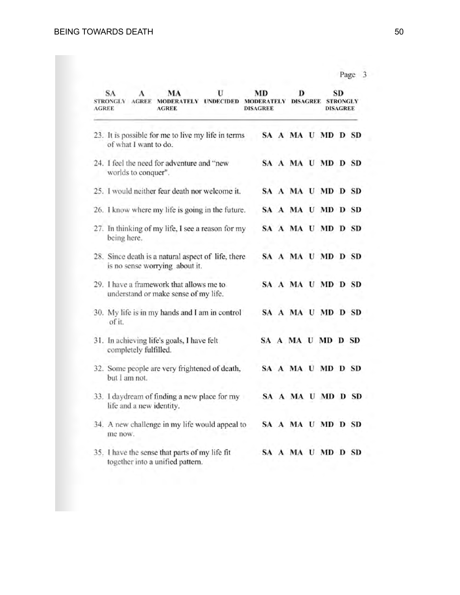Page 3

| AGREE | U<br>MA<br>SA<br>MODERATELY UNDECIDED MODERATELY<br>STRONGLY<br><b>AGREE</b><br><b>AGREE</b> | MD<br><b>DISAGREE</b> |                   | D<br><b>DISAGREE</b> |  | SD<br><b>STRONGLY</b><br><b>DISAGREE</b> |  |
|-------|----------------------------------------------------------------------------------------------|-----------------------|-------------------|----------------------|--|------------------------------------------|--|
|       | 23. It is possible for me to live my life in terms<br>of what I want to do.                  |                       | SA A MA U MD D SD |                      |  |                                          |  |
|       | 24. I feel the need for adventure and "new<br>worlds to conquer".                            |                       | SA A MA U MD D SD |                      |  |                                          |  |
|       | 25. I would neither fear death nor welcome it.                                               |                       | SA A MA U MD D SD |                      |  |                                          |  |
|       | 26. I know where my life is going in the future.                                             |                       | SA A MA U MD D SD |                      |  |                                          |  |
|       | 27. In thinking of my life, I see a reason for my<br>being here.                             |                       | SA A MA U MD D SD |                      |  |                                          |  |
|       | 28. Since death is a natural aspect of life, there<br>is no sense worrying about it.         |                       | SA A MA U MD D SD |                      |  |                                          |  |
|       | 29. I have a framework that allows me to<br>understand or make sense of my life.             |                       | SA A MA U MD D SD |                      |  |                                          |  |
|       | 30. My life is in my hands and I am in control<br>of it.                                     |                       | SA A MA U MD D SD |                      |  |                                          |  |
|       | 31. In achieving life's goals, I have felt<br>completely fulfilled.                          |                       | SA A MA U MD D SD |                      |  |                                          |  |
|       | 32. Some people are very frightened of death,<br>but I am not.                               |                       | SA A MA U MD D SD |                      |  |                                          |  |
|       | 33. I daydream of finding a new place for my<br>life and a new identity.                     |                       | SA A MA U MD D SD |                      |  |                                          |  |
|       | 34. A new challenge in my life would appeal to<br>me now.                                    |                       | SA A MA U MD D SD |                      |  |                                          |  |
|       | 35. I have the sense that parts of my life fit<br>together into a unified pattern.           |                       | SA A MA U MD D SD |                      |  |                                          |  |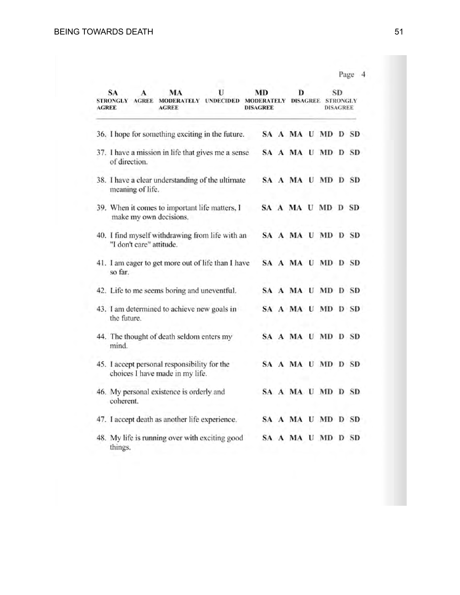| SА<br>MA<br>STRONGLY AGREE MODERATELY UNDECIDED MODERATELY DISAGREE STRONGLY<br>AGREE<br><b>AGREE</b> | U | MD<br><b>DISAGREE</b> | D                 |  | <b>SD</b><br><b>DISAGREE</b> |  |
|-------------------------------------------------------------------------------------------------------|---|-----------------------|-------------------|--|------------------------------|--|
| 36. I hope for something exciting in the future.                                                      |   |                       | SA A MA U MD D SD |  |                              |  |
| 37. I have a mission in life that gives me a sense<br>of direction.                                   |   |                       | SA A MA U MD D SD |  |                              |  |
| 38. I have a clear understanding of the ultimate<br>meaning of life.                                  |   |                       | SA A MA U MD D SD |  |                              |  |
| 39. When it comes to important life matters, I<br>make my own decisions.                              |   | SA A MA U MD D SD     |                   |  |                              |  |
| 40. I find myself withdrawing from life with an<br>"I don't care" attitude.                           |   |                       | SA A MA U MD D SD |  |                              |  |
| 41. I am eager to get more out of life than I have<br>so far.                                         |   |                       | SA A MA U MD D SD |  |                              |  |
| 42. Life to me seems boring and uneventful.                                                           |   |                       | SA A MA U MD D SD |  |                              |  |
| 43. I am determined to achieve new goals in<br>the future.                                            |   |                       | SA A MA U MD D SD |  |                              |  |
| 44. The thought of death seldom enters my<br>mind.                                                    |   |                       | SA A MA U MD D SD |  |                              |  |
| 45. I accept personal responsibility for the<br>choices I have made in my life.                       |   |                       | SA A MA U MD D SD |  |                              |  |
| 46. My personal existence is orderly and<br>coherent.                                                 |   |                       | SA A MA U MD D SD |  |                              |  |
| 47. I accept death as another life experience.                                                        |   |                       | SA A MA U MD D SD |  |                              |  |
| 48. My life is running over with exciting good<br>things.                                             |   |                       | SA A MA U MD D SD |  |                              |  |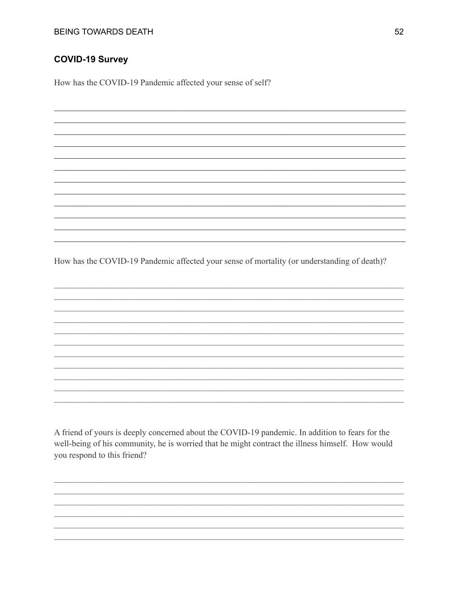## **COVID-19 Survey**

How has the COVID-19 Pandemic affected your sense of self?

How has the COVID-19 Pandemic affected your sense of mortality (or understanding of death)?

A friend of yours is deeply concerned about the COVID-19 pandemic. In addition to fears for the well-being of his community, he is worried that he might contract the illness himself. How would you respond to this friend?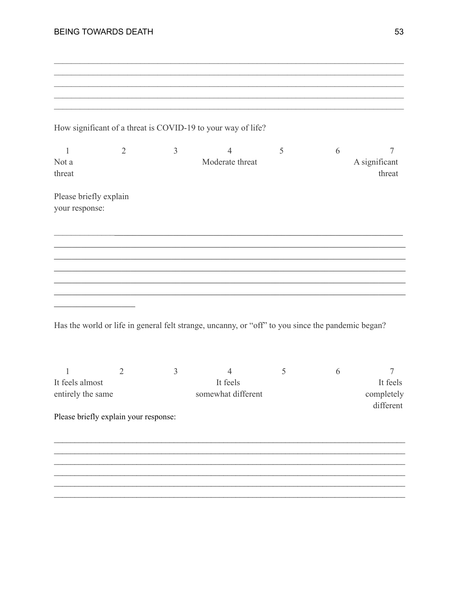|  | <b>BEING TOWARDS DEATH</b> |  |
|--|----------------------------|--|
|--|----------------------------|--|

|                                          |                                       |                | How significant of a threat is COVID-19 to your way of life?                                      |   |   |                                     |
|------------------------------------------|---------------------------------------|----------------|---------------------------------------------------------------------------------------------------|---|---|-------------------------------------|
| 1<br>Not a<br>threat                     | $\overline{2}$                        | $\mathfrak{Z}$ | $\overline{4}$<br>Moderate threat                                                                 | 5 | 6 | 7<br>A significant<br>threat        |
| Please briefly explain<br>your response: |                                       |                |                                                                                                   |   |   |                                     |
|                                          |                                       |                |                                                                                                   |   |   |                                     |
|                                          |                                       |                |                                                                                                   |   |   |                                     |
|                                          |                                       |                |                                                                                                   |   |   |                                     |
|                                          |                                       |                |                                                                                                   |   |   |                                     |
|                                          |                                       |                | Has the world or life in general felt strange, uncanny, or "off" to you since the pandemic began? |   |   |                                     |
| 1                                        | $\overline{2}$                        | 3              | $\overline{4}$                                                                                    | 5 | 6 | 7                                   |
| It feels almost<br>entirely the same     |                                       |                | It feels<br>somewhat different                                                                    |   |   | It feels<br>completely<br>different |
|                                          | Please briefly explain your response: |                |                                                                                                   |   |   |                                     |
|                                          |                                       |                |                                                                                                   |   |   |                                     |
|                                          |                                       |                |                                                                                                   |   |   |                                     |
|                                          |                                       |                |                                                                                                   |   |   |                                     |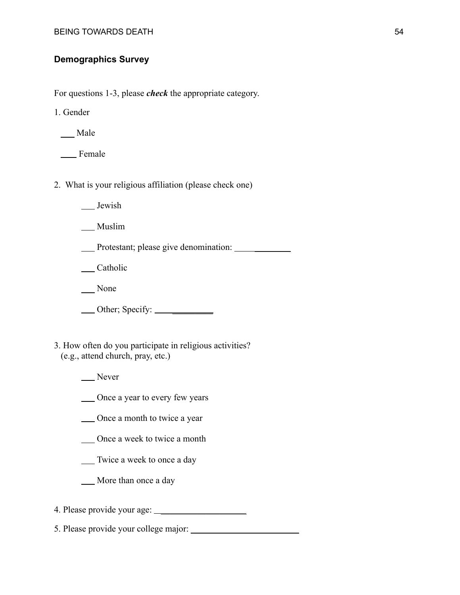## **Demographics Survey**

For questions 1-3, please *check* the appropriate category.

1. Gender

Male

**Example** 

- 2. What is your religious affiliation (please check one)
	- Jewish

\_\_ Muslim

Protestant; please give denomination: \_\_\_\_\_\_\_\_

\_\_ Catholic

None

Other; Specify: \_\_\_\_\_\_\_\_\_

3. How often do you participate in religious activities? (e.g., attend church, pray, etc.)

Never

Once a year to every few years

Once a month to twice a year

Once a week to twice a month

Twice a week to once a day

More than once a day

4. Please provide your age: \_\_\_\_\_\_\_\_\_\_\_\_\_\_\_\_\_\_\_

5. Please provide your college major: \_\_\_\_\_\_\_\_\_\_\_\_\_\_\_\_\_\_\_\_\_\_\_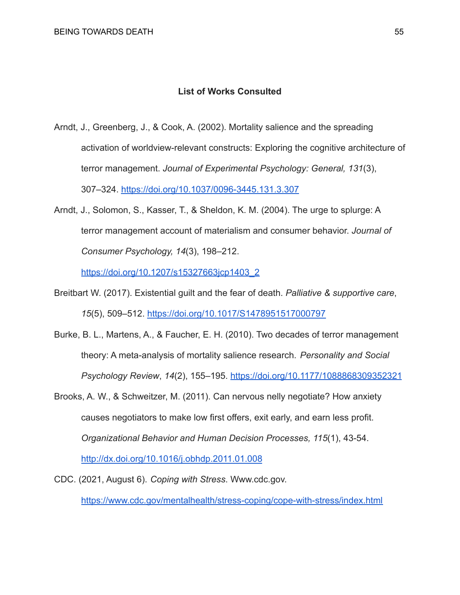## **List of Works Consulted**

- Arndt, J., Greenberg, J., & Cook, A. (2002). Mortality salience and the spreading activation of worldview-relevant constructs: Exploring the cognitive architecture of terror management. *Journal of Experimental Psychology: General, 131*(3), 307–324. <https://doi.org/10.1037/0096-3445.131.3.307>
- Arndt, J., Solomon, S., Kasser, T., & Sheldon, K. M. (2004). The urge to splurge: A terror management account of materialism and consumer behavior. *Journal of Consumer Psychology, 14*(3), 198–212.

[https://doi.org/10.1207/s15327663jcp1403\\_2](https://doi.org/10.1207/s15327663jcp1403_2)

- Breitbart W. (2017). Existential guilt and the fear of death. *Palliative & supportive care*, *15*(5), 509–512. <https://doi.org/10.1017/S1478951517000797>
- Burke, B. L., Martens, A., & Faucher, E. H. (2010). Two decades of terror management theory: A meta-analysis of mortality salience research. *Personality and Social Psychology Review*, *14*(2), 155–195. <https://doi.org/10.1177/1088868309352321>
- Brooks, A. W., & Schweitzer, M. (2011). Can nervous nelly negotiate? How anxiety causes negotiators to make low first offers, exit early, and earn less profit. *Organizational Behavior and Human Decision Processes, 115*(1), 43-54. <http://dx.doi.org/10.1016/j.obhdp.2011.01.008>
- CDC. (2021, August 6). *Coping with Stress*. [Www.cdc.gov.](Www.cdc.gov) <https://www.cdc.gov/mentalhealth/stress-coping/cope-with-stress/index.html>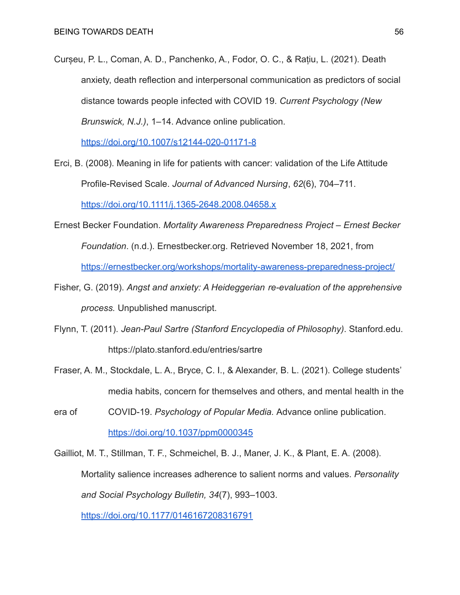Curșeu, P. L., Coman, A. D., Panchenko, A., Fodor, O. C., & Rațiu, L. (2021). Death anxiety, death reflection and interpersonal communication as predictors of social distance towards people infected with COVID 19. *Current Psychology (New Brunswick, N.J.)*, 1–14. Advance online publication.

<https://doi.org/10.1007/s12144-020-01171-8>

- Erci, B. (2008). Meaning in life for patients with cancer: validation of the Life Attitude Profile-Revised Scale. *Journal of Advanced Nursing*, *62*(6), 704–711. <https://doi.org/10.1111/j.1365-2648.2008.04658.x>
- Ernest Becker Foundation. *Mortality Awareness Preparedness Project Ernest Becker Foundation*. (n.d.). [Ernestbecker.org](https://Ernestbecker.org). Retrieved November 18, 2021, from <https://ernestbecker.org/workshops/mortality-awareness-preparedness-project/>
- Fisher, G. (2019). *Angst and anxiety: A Heideggerian re-evaluation of the apprehensive process.* Unpublished manuscript.
- Flynn, T. (2011). *Jean-Paul Sartre (Stanford Encyclopedia of Philosophy)*. [Stanford.edu](https://Stanford.edu). <https://plato.stanford.edu/entries/sartre>
- Fraser, A. M., Stockdale, L. A., Bryce, C. I., & Alexander, B. L. (2021). College students' media habits, concern for themselves and others, and mental health in the
- era of COVID-19. *Psychology of Popular Media.* Advance online publication. <https://doi.org/10.1037/ppm0000345>
- Gailliot, M. T., Stillman, T. F., Schmeichel, B. J., Maner, J. K., & Plant, E. A. (2008). Mortality salience increases adherence to salient norms and values. *Personality and Social Psychology Bulletin, 34*(7), 993–1003.

<https://doi.org/10.1177/0146167208316791>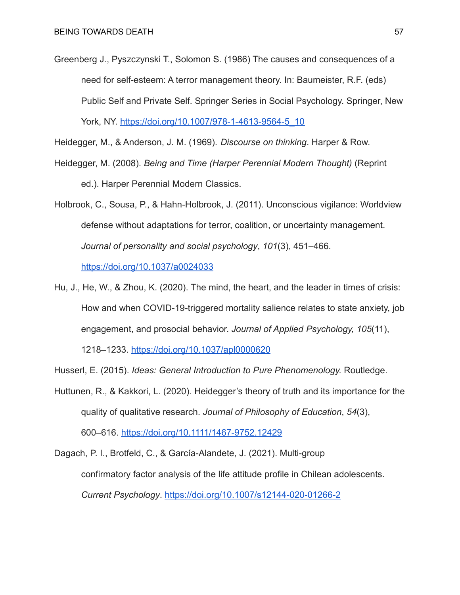Greenberg J., Pyszczynski T., Solomon S. (1986) The causes and consequences of a need for self-esteem: A terror management theory. In: Baumeister, R.F. (eds) Public Self and Private Self. Springer Series in Social Psychology. Springer, New York, NY. [https://doi.org/10.1007/978-1-4613-9564-5\\_10](https://doi.org/10.1007/978-1-4613-9564-5_10)

Heidegger, M., & Anderson, J. M. (1969). *Discourse on thinking*. Harper & Row.

- Heidegger, M. (2008). *Being and Time (Harper Perennial Modern Thought)* (Reprint ed.). Harper Perennial Modern Classics.
- Holbrook, C., Sousa, P., & Hahn-Holbrook, J. (2011). Unconscious vigilance: Worldview defense without adaptations for terror, coalition, or uncertainty management. *Journal of personality and social psychology*, *101*(3), 451–466. <https://doi.org/10.1037/a0024033>
- Hu, J., He, W., & Zhou, K. (2020). The mind, the heart, and the leader in times of crisis: How and when COVID-19-triggered mortality salience relates to state anxiety, job engagement, and prosocial behavior. *Journal of Applied Psychology, 105*(11),

1218–1233. <https://doi.org/10.1037/apl0000620>

Husserl, E. (2015). *Ideas: General Introduction to Pure Phenomenology.* Routledge.

Huttunen, R., & Kakkori, L. (2020). Heidegger's theory of truth and its importance for the quality of qualitative research. *Journal of Philosophy of Education*, *54*(3), 600–616. <https://doi.org/10.1111/1467-9752.12429>

Dagach, P. I., Brotfeld, C., & García-Alandete, J. (2021). Multi-group confirmatory factor analysis of the life attitude profile in Chilean adolescents. *Current Psychology*. <https://doi.org/10.1007/s12144-020-01266-2>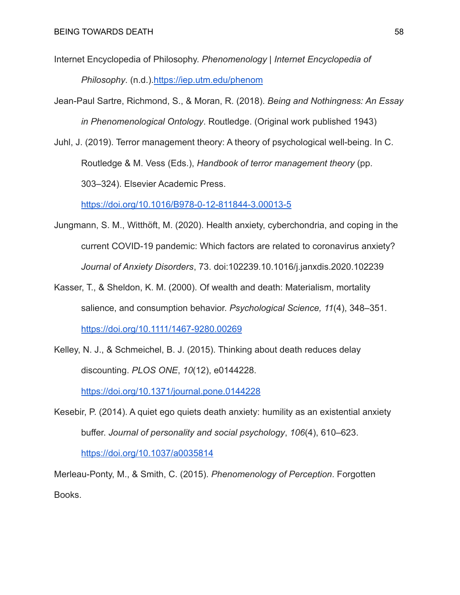- Internet Encyclopedia of Philosophy. *Phenomenology | Internet Encyclopedia of Philosophy*. (n.d.).<https://iep.utm.edu/phenom>
- Jean-Paul Sartre, Richmond, S., & Moran, R. (2018). *Being and Nothingness: An Essay in Phenomenological Ontology*. Routledge. (Original work published 1943)
- Juhl, J. (2019). Terror management theory: A theory of psychological well-being. In C. Routledge & M. Vess (Eds.), *Handbook of terror management theory* (pp. 303–324). Elsevier Academic Press.

<https://doi.org/10.1016/B978-0-12-811844-3.00013-5>

- Jungmann, S. M., Witthöft, M. (2020). Health anxiety, cyberchondria, and coping in the current COVID-19 pandemic: Which factors are related to coronavirus anxiety? *Journal of Anxiety Disorders*, 73. doi:102239.10.1016/j.janxdis.2020.102239
- Kasser, T., & Sheldon, K. M. (2000). Of wealth and death: Materialism, mortality salience, and consumption behavior. *Psychological Science, 11*(4), 348–351. <https://doi.org/10.1111/1467-9280.00269>
- Kelley, N. J., & Schmeichel, B. J. (2015). Thinking about death reduces delay discounting. *PLOS ONE*, *10*(12), e0144228.

<https://doi.org/10.1371/journal.pone.0144228>

Kesebir, P. (2014). A quiet ego quiets death anxiety: humility as an existential anxiety buffer. *Journal of personality and social psychology*, *106*(4), 610–623. <https://doi.org/10.1037/a0035814>

Merleau-Ponty, M., & Smith, C. (2015). *Phenomenology of Perception*. Forgotten Books.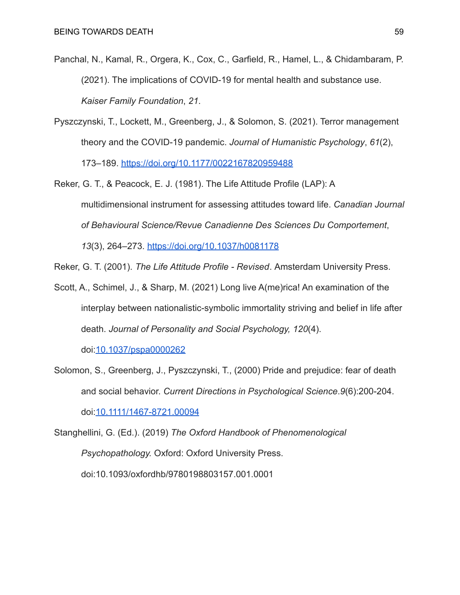- Panchal, N., Kamal, R., Orgera, K., Cox, C., Garfield, R., Hamel, L., & Chidambaram, P. (2021). The implications of COVID-19 for mental health and substance use. *Kaiser Family Foundation*, *21*.
- Pyszczynski, T., Lockett, M., Greenberg, J., & Solomon, S. (2021). Terror management theory and the COVID-19 pandemic. *Journal of Humanistic Psychology*, *61*(2), 173–189. <https://doi.org/10.1177/0022167820959488>
- Reker, G. T., & Peacock, E. J. (1981). The Life Attitude Profile (LAP): A multidimensional instrument for assessing attitudes toward life. *Canadian Journal of Behavioural Science/Revue Canadienne Des Sciences Du Comportement*, *13*(3), 264–273. <https://doi.org/10.1037/h0081178>
- Reker, G. T. (2001). *The Life Attitude Profile Revised*. Amsterdam University Press.
- Scott, A., Schimel, J., & Sharp, M. (2021) Long live A(me)rica! An examination of the interplay between nationalistic-symbolic immortality striving and belief in life after death. *Journal of Personality and Social Psychology, 120*(4).

doi[:10.1037/pspa0000262](http://dx.doi.org/10.1037/pspa0000262)

Solomon, S., Greenberg, J., Pyszczynski, T., (2000) Pride and prejudice: fear of death and social behavior. *Current Directions in Psychological Science*.*9*(6):200-204. doi[:10.1111/1467-8721.00094](https://doi.org/10.1111/1467-8721.00094)

Stanghellini, G. (Ed.). (2019) *The Oxford Handbook of Phenomenological Psychopathology.* Oxford: Oxford University Press. doi:10.1093/oxfordhb/9780198803157.001.0001